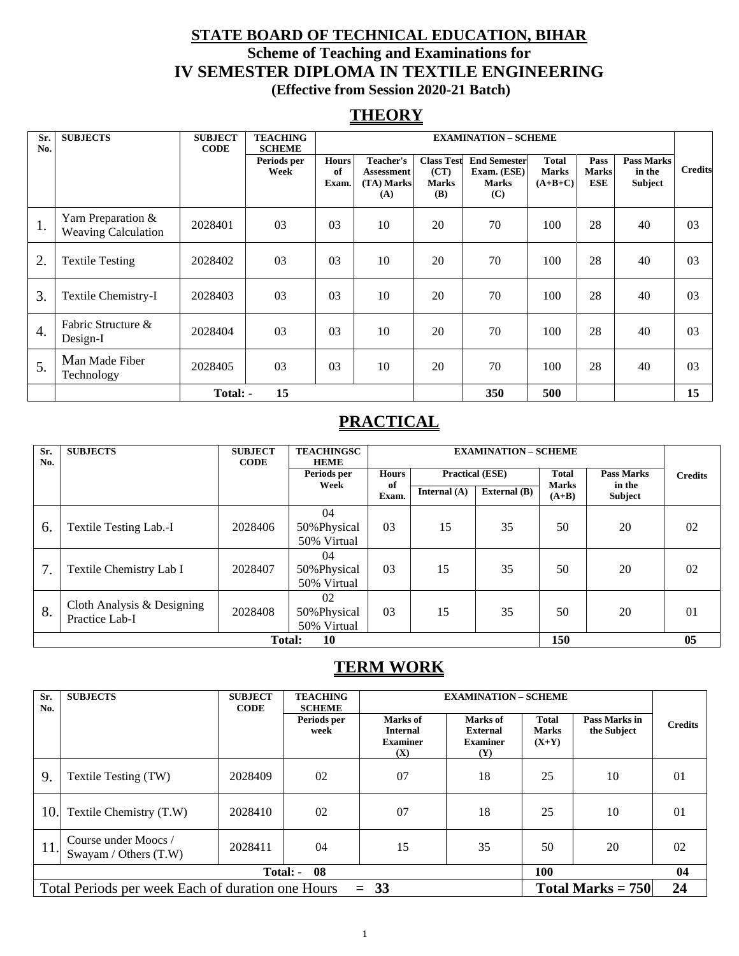### **STATE BOARD OF TECHNICAL EDUCATION, BIHAR Scheme of Teaching and Examinations for IV SEMESTER DIPLOMA IN TEXTILE ENGINEERING (Effective from Session 2020-21 Batch)**

### **THEORY**

| Sr.<br>No.       | <b>SUBJECTS</b>                                  | <b>SUBJECT</b><br><b>CODE</b> | <b>TEACHING</b><br><b>SCHEME</b> |                             | <b>EXAMINATION - SCHEME</b>                         |                                                  |                                                           |                                           |                                    |                                        |                |
|------------------|--------------------------------------------------|-------------------------------|----------------------------------|-----------------------------|-----------------------------------------------------|--------------------------------------------------|-----------------------------------------------------------|-------------------------------------------|------------------------------------|----------------------------------------|----------------|
|                  |                                                  |                               | Periods per<br>Week              | <b>Hours</b><br>of<br>Exam. | Teacher's<br><b>Assessment</b><br>(TA) Marks<br>(A) | <b>Class Test</b><br>(CT)<br><b>Marks</b><br>(B) | <b>End Semester</b><br>Exam. (ESE)<br><b>Marks</b><br>(C) | <b>Total</b><br><b>Marks</b><br>$(A+B+C)$ | Pass<br><b>Marks</b><br><b>ESE</b> | <b>Pass Marks</b><br>in the<br>Subject | <b>Credits</b> |
| 1.               | Yarn Preparation &<br><b>Weaving Calculation</b> | 2028401                       | 03                               | 0 <sub>3</sub>              | 10                                                  | 20                                               | 70                                                        | 100                                       | 28                                 | 40                                     | 03             |
| 2.               | <b>Textile Testing</b>                           | 2028402                       | 03                               | 03                          | 10                                                  | 20                                               | 70                                                        | 100                                       | 28                                 | 40                                     | 03             |
| 3.               | Textile Chemistry-I                              | 2028403                       | 03                               | 0 <sub>3</sub>              | 10                                                  | 20                                               | 70                                                        | 100                                       | 28                                 | 40                                     | 03             |
| $\overline{4}$ . | Fabric Structure &<br>Design-I                   | 2028404                       | 03                               | 0 <sub>3</sub>              | 10                                                  | 20                                               | 70                                                        | 100                                       | 28                                 | 40                                     | 03             |
| 5.               | Man Made Fiber<br>Technology                     | 2028405                       | 03                               | 03                          | 10                                                  | 20                                               | 70                                                        | 100                                       | 28                                 | 40                                     | 03             |
|                  |                                                  | Total: -                      | 15                               |                             |                                                     |                                                  | 350                                                       | 500                                       |                                    |                                        | 15             |

### **PRACTICAL**

| Sr.<br>No. | <b>SUBJECTS</b>                              | <b>SUBJECT</b><br><b>CODE</b> | <b>TEACHINGSC</b><br><b>HEME</b>  |                                        | <b>EXAMINATION - SCHEME</b> |                |         |                                          |                |
|------------|----------------------------------------------|-------------------------------|-----------------------------------|----------------------------------------|-----------------------------|----------------|---------|------------------------------------------|----------------|
|            |                                              |                               | Periods per                       | <b>Hours</b><br><b>Practical (ESE)</b> |                             |                |         | <b>Pass Marks</b>                        | <b>Credits</b> |
|            |                                              |                               | Week                              | of<br>Exam.                            | Internal $(A)$              | External $(B)$ | $(A+B)$ | <b>Marks</b><br>in the<br><b>Subject</b> |                |
| 6.         | Textile Testing Lab.-I                       | 2028406                       | 04<br>50% Physical<br>50% Virtual | 03                                     | 15                          | 35             | 50      | 20                                       | 02             |
| 7.         | Textile Chemistry Lab I                      | 2028407                       | 04<br>50% Physical<br>50% Virtual | 0 <sub>3</sub>                         | 15                          | 35             | 50      | 20                                       | 02             |
| 8.         | Cloth Analysis & Designing<br>Practice Lab-I | 2028408                       | 02<br>50% Physical<br>50% Virtual | 0 <sub>3</sub>                         | 15                          | 35             | 50      | 20                                       | 0 <sub>1</sub> |
|            | 150<br>10<br><b>Total:</b>                   |                               |                                   |                                        |                             |                |         |                                          | 05             |

### **TERM WORK**

| Sr.<br>No. | <b>SUBJECTS</b>                                                                    | <b>SUBJECT</b><br><b>CODE</b> | <b>TEACHING</b><br><b>SCHEME</b> |                                                       | <b>EXAMINATION - SCHEME</b>                           |                                         |                              |                |  |
|------------|------------------------------------------------------------------------------------|-------------------------------|----------------------------------|-------------------------------------------------------|-------------------------------------------------------|-----------------------------------------|------------------------------|----------------|--|
|            |                                                                                    |                               | Periods per<br>week              | Marks of<br><b>Internal</b><br><b>Examiner</b><br>(X) | Marks of<br><b>External</b><br><b>Examiner</b><br>(Y) | <b>Total</b><br><b>Marks</b><br>$(X+Y)$ | Pass Marks in<br>the Subject | <b>Credits</b> |  |
| 9.         | Textile Testing (TW)                                                               | 2028409                       | 02                               | 07                                                    | 18                                                    | 25                                      | 10                           | 01             |  |
| 10.        | Textile Chemistry (T.W)                                                            | 2028410                       | 02                               | 07                                                    | 18                                                    | 25                                      | 10                           | 01             |  |
| 11.        | Course under Moocs /<br>Swayam / Others $(T.W)$                                    | 2028411                       | 04                               | 15                                                    | 35                                                    | 50                                      | 20                           | 02             |  |
|            |                                                                                    | Total: -                      | -08                              |                                                       |                                                       | 100                                     |                              | 04             |  |
|            | $= 33$<br>Total Marks $= 750$<br>Total Periods per week Each of duration one Hours |                               |                                  |                                                       |                                                       |                                         |                              | 24             |  |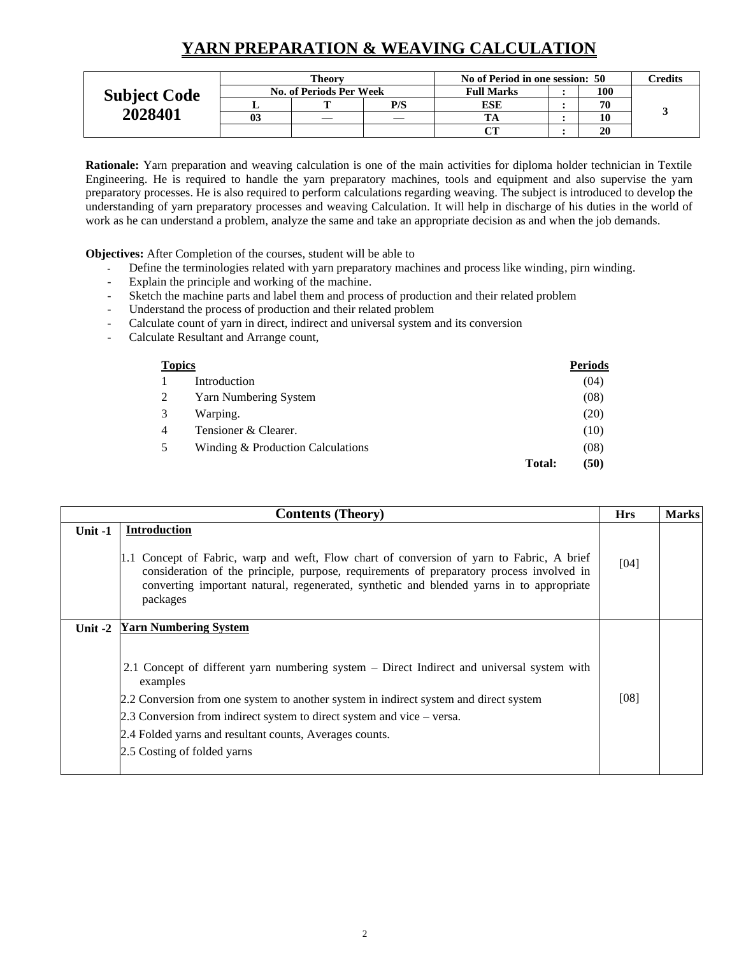### **YARN PREPARATION & WEAVING CALCULATION**

|                     |    | Theorv                         |     | No of Period in one session: 50 |     |    | Credits |
|---------------------|----|--------------------------------|-----|---------------------------------|-----|----|---------|
| <b>Subject Code</b> |    | <b>No. of Periods Per Week</b> |     | <b>Full Marks</b>               | 100 |    |         |
|                     |    |                                | P/S | ESE                             | 70  |    |         |
| 2028401             | 03 |                                |     |                                 |     | 10 |         |
|                     |    |                                |     |                                 |     | 20 |         |

**Rationale:** Yarn preparation and weaving calculation is one of the main activities for diploma holder technician in Textile Engineering. He is required to handle the yarn preparatory machines, tools and equipment and also supervise the yarn preparatory processes. He is also required to perform calculations regarding weaving. The subject is introduced to develop the understanding of yarn preparatory processes and weaving Calculation. It will help in discharge of his duties in the world of work as he can understand a problem, analyze the same and take an appropriate decision as and when the job demands.

**Objectives:** After Completion of the courses, student will be able to

- Define the terminologies related with yarn preparatory machines and process like winding, pirn winding.
- Explain the principle and working of the machine.
- Sketch the machine parts and label them and process of production and their related problem
- Understand the process of production and their related problem
- Calculate count of yarn in direct, indirect and universal system and its conversion
- Calculate Resultant and Arrange count,

| <b>Topics</b> |                                   |               | <b>Periods</b> |
|---------------|-----------------------------------|---------------|----------------|
|               | Introduction                      |               | (04)           |
| 2             | Yarn Numbering System             |               | (08)           |
| 3             | Warping.                          |               | (20)           |
| 4             | Tensioner & Clearer.              |               | (10)           |
| 5             | Winding & Production Calculations |               | (08)           |
|               |                                   | <b>Total:</b> | (50)           |

|           | <b>Contents (Theory)</b>                                                                                                                                                                                                                                                                                                                                                                            | <b>Hrs</b> | <b>Marks</b> |
|-----------|-----------------------------------------------------------------------------------------------------------------------------------------------------------------------------------------------------------------------------------------------------------------------------------------------------------------------------------------------------------------------------------------------------|------------|--------------|
| Unit -1   | <b>Introduction</b><br>1.1 Concept of Fabric, warp and weft, Flow chart of conversion of yarn to Fabric, A brief<br>consideration of the principle, purpose, requirements of preparatory process involved in<br>converting important natural, regenerated, synthetic and blended yarns in to appropriate<br>packages                                                                                | [04]       |              |
| Unit $-2$ | <b>Yarn Numbering System</b><br>2.1 Concept of different yarn numbering system – Direct Indirect and universal system with<br>examples<br>2.2 Conversion from one system to another system in indirect system and direct system<br>2.3 Conversion from indirect system to direct system and vice – versa.<br>2.4 Folded yarns and resultant counts, Averages counts.<br>2.5 Costing of folded yarns | [08]       |              |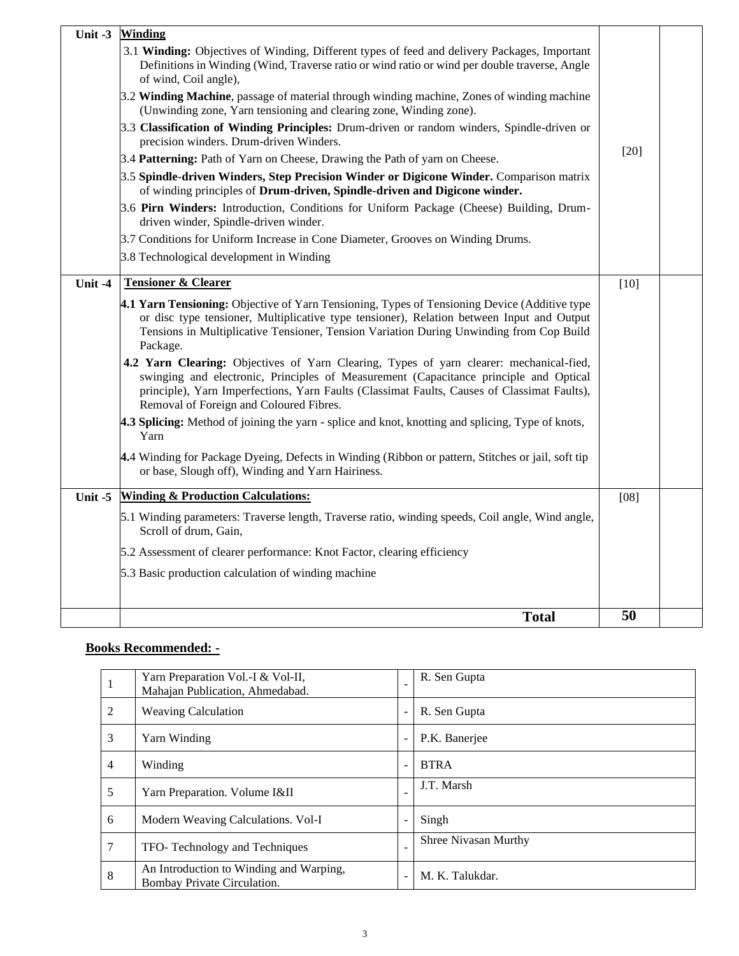| <b>Winding</b><br>Unit $-3$                                                                                                                                                                                                                                                                                                |        |  |
|----------------------------------------------------------------------------------------------------------------------------------------------------------------------------------------------------------------------------------------------------------------------------------------------------------------------------|--------|--|
| 3.1 Winding: Objectives of Winding, Different types of feed and delivery Packages, Important<br>Definitions in Winding (Wind, Traverse ratio or wind ratio or wind per double traverse, Angle<br>of wind, Coil angle),                                                                                                     |        |  |
| 3.2 Winding Machine, passage of material through winding machine, Zones of winding machine<br>(Unwinding zone, Yarn tensioning and clearing zone, Winding zone).                                                                                                                                                           |        |  |
| 3.3 Classification of Winding Principles: Drum-driven or random winders, Spindle-driven or<br>precision winders. Drum-driven Winders.                                                                                                                                                                                      | $[20]$ |  |
| 3.4 Patterning: Path of Yarn on Cheese, Drawing the Path of yarn on Cheese.                                                                                                                                                                                                                                                |        |  |
| 3.5 Spindle-driven Winders, Step Precision Winder or Digicone Winder. Comparison matrix<br>of winding principles of Drum-driven, Spindle-driven and Digicone winder.                                                                                                                                                       |        |  |
| 3.6 Pirn Winders: Introduction, Conditions for Uniform Package (Cheese) Building, Drum-<br>driven winder, Spindle-driven winder.                                                                                                                                                                                           |        |  |
| 3.7 Conditions for Uniform Increase in Cone Diameter, Grooves on Winding Drums.                                                                                                                                                                                                                                            |        |  |
| 3.8 Technological development in Winding                                                                                                                                                                                                                                                                                   |        |  |
| <b>Tensioner &amp; Clearer</b><br>Unit -4                                                                                                                                                                                                                                                                                  | $[10]$ |  |
| 4.1 Yarn Tensioning: Objective of Yarn Tensioning, Types of Tensioning Device (Additive type<br>or disc type tensioner, Multiplicative type tensioner), Relation between Input and Output<br>Tensions in Multiplicative Tensioner, Tension Variation During Unwinding from Cop Build<br>Package.                           |        |  |
| 4.2 Yarn Clearing: Objectives of Yarn Clearing, Types of yarn clearer: mechanical-fied,<br>swinging and electronic, Principles of Measurement (Capacitance principle and Optical<br>principle), Yarn Imperfections, Yarn Faults (Classimat Faults, Causes of Classimat Faults),<br>Removal of Foreign and Coloured Fibres. |        |  |
| 4.3 Splicing: Method of joining the yarn - splice and knot, knotting and splicing, Type of knots,<br>Yarn                                                                                                                                                                                                                  |        |  |
| 4.4 Winding for Package Dyeing, Defects in Winding (Ribbon or pattern, Stitches or jail, soft tip<br>or base, Slough off), Winding and Yarn Hairiness.                                                                                                                                                                     |        |  |
| <b>Winding &amp; Production Calculations:</b><br>Unit -5                                                                                                                                                                                                                                                                   | $[08]$ |  |
| 5.1 Winding parameters: Traverse length, Traverse ratio, winding speeds, Coil angle, Wind angle,<br>Scroll of drum, Gain,                                                                                                                                                                                                  |        |  |
| 5.2 Assessment of clearer performance: Knot Factor, clearing efficiency                                                                                                                                                                                                                                                    |        |  |
| 5.3 Basic production calculation of winding machine                                                                                                                                                                                                                                                                        |        |  |
|                                                                                                                                                                                                                                                                                                                            |        |  |
| <b>Total</b>                                                                                                                                                                                                                                                                                                               | 50     |  |

### **Books Recommended: -**

| 1              | Yarn Preparation Vol.-I & Vol-II,<br>Mahajan Publication, Ahmedabad.   | $\blacksquare$           | R. Sen Gupta         |
|----------------|------------------------------------------------------------------------|--------------------------|----------------------|
| 2              | <b>Weaving Calculation</b>                                             | $\overline{\phantom{a}}$ | R. Sen Gupta         |
| 3              | Yarn Winding                                                           | $\overline{\phantom{a}}$ | P.K. Banerjee        |
| $\overline{4}$ | Winding                                                                | $\blacksquare$           | <b>BTRA</b>          |
| 5              | Yarn Preparation. Volume I&II                                          | $\overline{\phantom{a}}$ | J.T. Marsh           |
| 6              | Modern Weaving Calculations. Vol-I                                     | $\overline{\phantom{a}}$ | Singh                |
| 7              | TFO-Technology and Techniques                                          | $\overline{\phantom{a}}$ | Shree Nivasan Murthy |
| 8              | An Introduction to Winding and Warping,<br>Bombay Private Circulation. | $\blacksquare$           | M. K. Talukdar.      |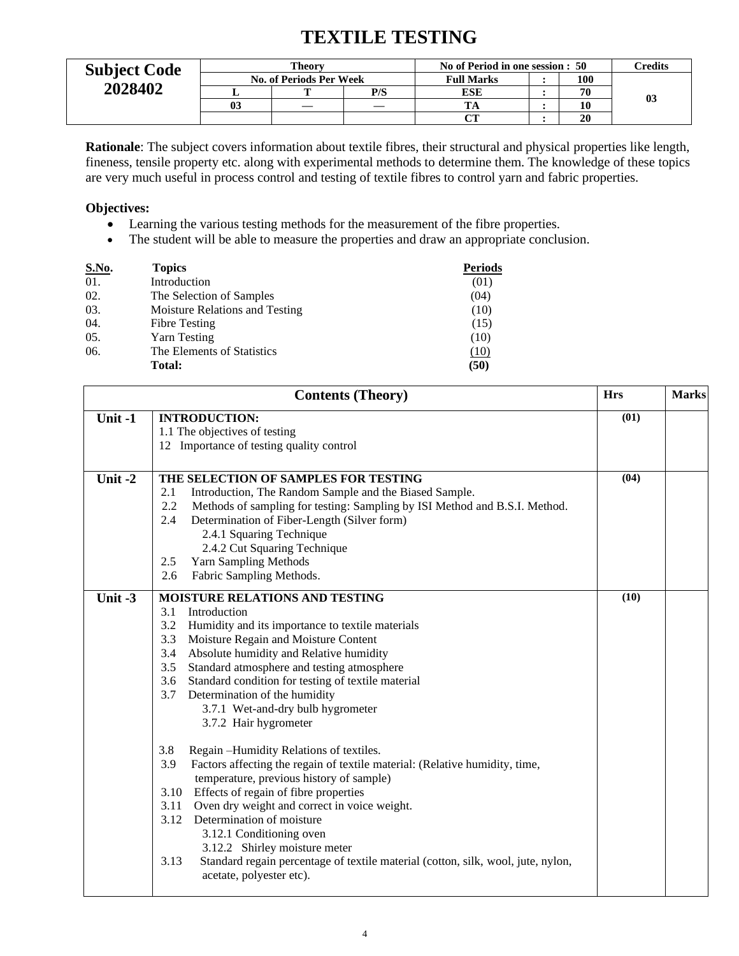## **TEXTILE TESTING**

| <b>Subject Code</b> |    | Theorv                         |     | No of Period in one session : 50 | <b>Predits</b> |    |    |
|---------------------|----|--------------------------------|-----|----------------------------------|----------------|----|----|
|                     |    | <b>No. of Periods Per Week</b> |     | <b>Full Marks</b>                | 100            |    |    |
| 2028402             |    |                                | P/S | ESE                              |                | 70 |    |
|                     | 03 |                                |     |                                  |                | 10 | 03 |
|                     |    |                                |     | $\alpha$                         |                | 20 |    |

**Rationale**: The subject covers information about textile fibres, their structural and physical properties like length, fineness, tensile property etc. along with experimental methods to determine them. The knowledge of these topics are very much useful in process control and testing of textile fibres to control yarn and fabric properties.

### **Objectives:**

- Learning the various testing methods for the measurement of the fibre properties.
- The student will be able to measure the properties and draw an appropriate conclusion.

| <b>S.No.</b> | <b>Topics</b>                  | <b>Periods</b> |
|--------------|--------------------------------|----------------|
| 01.          | Introduction                   | (01)           |
| 02.          | The Selection of Samples       | (04)           |
| 03.          | Moisture Relations and Testing | (10)           |
| 04.          | <b>Fibre Testing</b>           | (15)           |
| 05.          | Yarn Testing                   | (10)           |
| 06.          | The Elements of Statistics     | (10)           |
|              | Total:                         | (50)           |
|              |                                |                |

|         | <b>Contents (Theory)</b>                                                                                                                                                                                                                                                                                                                                                                                                                                                                                                                                                                                                                                                                                                                                                                                                                                                                                                                                          | <b>Hrs</b> | <b>Marks</b> |
|---------|-------------------------------------------------------------------------------------------------------------------------------------------------------------------------------------------------------------------------------------------------------------------------------------------------------------------------------------------------------------------------------------------------------------------------------------------------------------------------------------------------------------------------------------------------------------------------------------------------------------------------------------------------------------------------------------------------------------------------------------------------------------------------------------------------------------------------------------------------------------------------------------------------------------------------------------------------------------------|------------|--------------|
| Unit-1  | <b>INTRODUCTION:</b><br>1.1 The objectives of testing<br>12 Importance of testing quality control                                                                                                                                                                                                                                                                                                                                                                                                                                                                                                                                                                                                                                                                                                                                                                                                                                                                 | (01)       |              |
| Unit-2  | THE SELECTION OF SAMPLES FOR TESTING<br>Introduction, The Random Sample and the Biased Sample.<br>2.1<br>2.2<br>Methods of sampling for testing: Sampling by ISI Method and B.S.I. Method.<br>2.4<br>Determination of Fiber-Length (Silver form)<br>2.4.1 Squaring Technique<br>2.4.2 Cut Squaring Technique<br>2.5<br><b>Yarn Sampling Methods</b><br>2.6<br>Fabric Sampling Methods.                                                                                                                                                                                                                                                                                                                                                                                                                                                                                                                                                                            | (04)       |              |
| Unit -3 | <b>MOISTURE RELATIONS AND TESTING</b><br>Introduction<br>3.1<br>3.2<br>Humidity and its importance to textile materials<br>3.3<br>Moisture Regain and Moisture Content<br>Absolute humidity and Relative humidity<br>3.4<br>Standard atmosphere and testing atmosphere<br>3.5<br>Standard condition for testing of textile material<br>3.6<br>Determination of the humidity<br>3.7<br>3.7.1 Wet-and-dry bulb hygrometer<br>3.7.2 Hair hygrometer<br>3.8<br>Regain -Humidity Relations of textiles.<br>3.9<br>Factors affecting the regain of textile material: (Relative humidity, time,<br>temperature, previous history of sample)<br>3.10 Effects of regain of fibre properties<br>3.11<br>Oven dry weight and correct in voice weight.<br>3.12 Determination of moisture<br>3.12.1 Conditioning oven<br>3.12.2 Shirley moisture meter<br>3.13<br>Standard regain percentage of textile material (cotton, silk, wool, jute, nylon,<br>acetate, polyester etc). | (10)       |              |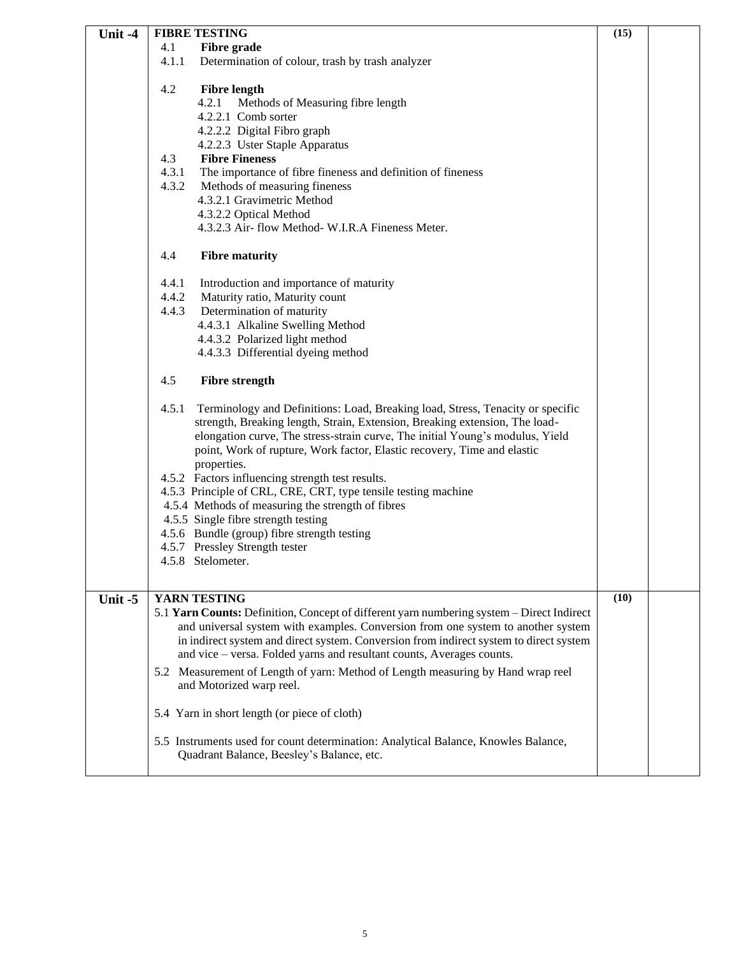| Unit -4 | <b>FIBRE TESTING</b>                                                                                                                                                                                                                                                                                                                                                                                                                                                                                                                                                                                                                                                      | (15) |  |
|---------|---------------------------------------------------------------------------------------------------------------------------------------------------------------------------------------------------------------------------------------------------------------------------------------------------------------------------------------------------------------------------------------------------------------------------------------------------------------------------------------------------------------------------------------------------------------------------------------------------------------------------------------------------------------------------|------|--|
|         | 4.1<br><b>Fibre grade</b>                                                                                                                                                                                                                                                                                                                                                                                                                                                                                                                                                                                                                                                 |      |  |
|         | 4.1.1<br>Determination of colour, trash by trash analyzer                                                                                                                                                                                                                                                                                                                                                                                                                                                                                                                                                                                                                 |      |  |
|         |                                                                                                                                                                                                                                                                                                                                                                                                                                                                                                                                                                                                                                                                           |      |  |
|         | 4.2<br><b>Fibre length</b>                                                                                                                                                                                                                                                                                                                                                                                                                                                                                                                                                                                                                                                |      |  |
|         | 4.2.1<br>Methods of Measuring fibre length                                                                                                                                                                                                                                                                                                                                                                                                                                                                                                                                                                                                                                |      |  |
|         | 4.2.2.1 Comb sorter                                                                                                                                                                                                                                                                                                                                                                                                                                                                                                                                                                                                                                                       |      |  |
|         | 4.2.2.2 Digital Fibro graph                                                                                                                                                                                                                                                                                                                                                                                                                                                                                                                                                                                                                                               |      |  |
|         | 4.2.2.3 Uster Staple Apparatus                                                                                                                                                                                                                                                                                                                                                                                                                                                                                                                                                                                                                                            |      |  |
|         | <b>Fibre Fineness</b><br>4.3                                                                                                                                                                                                                                                                                                                                                                                                                                                                                                                                                                                                                                              |      |  |
|         | 4.3.1<br>The importance of fibre fineness and definition of fineness                                                                                                                                                                                                                                                                                                                                                                                                                                                                                                                                                                                                      |      |  |
|         | 4.3.2<br>Methods of measuring fineness                                                                                                                                                                                                                                                                                                                                                                                                                                                                                                                                                                                                                                    |      |  |
|         | 4.3.2.1 Gravimetric Method                                                                                                                                                                                                                                                                                                                                                                                                                                                                                                                                                                                                                                                |      |  |
|         | 4.3.2.2 Optical Method                                                                                                                                                                                                                                                                                                                                                                                                                                                                                                                                                                                                                                                    |      |  |
|         | 4.3.2.3 Air- flow Method- W.I.R.A Fineness Meter.                                                                                                                                                                                                                                                                                                                                                                                                                                                                                                                                                                                                                         |      |  |
|         | 4.4<br><b>Fibre maturity</b>                                                                                                                                                                                                                                                                                                                                                                                                                                                                                                                                                                                                                                              |      |  |
|         |                                                                                                                                                                                                                                                                                                                                                                                                                                                                                                                                                                                                                                                                           |      |  |
|         | 4.4.1<br>Introduction and importance of maturity                                                                                                                                                                                                                                                                                                                                                                                                                                                                                                                                                                                                                          |      |  |
|         | 4.4.2<br>Maturity ratio, Maturity count                                                                                                                                                                                                                                                                                                                                                                                                                                                                                                                                                                                                                                   |      |  |
|         | 4.4.3<br>Determination of maturity                                                                                                                                                                                                                                                                                                                                                                                                                                                                                                                                                                                                                                        |      |  |
|         | 4.4.3.1 Alkaline Swelling Method                                                                                                                                                                                                                                                                                                                                                                                                                                                                                                                                                                                                                                          |      |  |
|         | 4.4.3.2 Polarized light method                                                                                                                                                                                                                                                                                                                                                                                                                                                                                                                                                                                                                                            |      |  |
|         | 4.4.3.3 Differential dyeing method                                                                                                                                                                                                                                                                                                                                                                                                                                                                                                                                                                                                                                        |      |  |
|         | 4.5<br><b>Fibre strength</b>                                                                                                                                                                                                                                                                                                                                                                                                                                                                                                                                                                                                                                              |      |  |
|         | Terminology and Definitions: Load, Breaking load, Stress, Tenacity or specific<br>4.5.1<br>strength, Breaking length, Strain, Extension, Breaking extension, The load-<br>elongation curve, The stress-strain curve, The initial Young's modulus, Yield<br>point, Work of rupture, Work factor, Elastic recovery, Time and elastic<br>properties.<br>4.5.2 Factors influencing strength test results.<br>4.5.3 Principle of CRL, CRE, CRT, type tensile testing machine<br>4.5.4 Methods of measuring the strength of fibres<br>4.5.5 Single fibre strength testing<br>4.5.6 Bundle (group) fibre strength testing<br>4.5.7 Pressley Strength tester<br>4.5.8 Stelometer. |      |  |
| Unit -5 | YARN TESTING                                                                                                                                                                                                                                                                                                                                                                                                                                                                                                                                                                                                                                                              | (10) |  |
|         | 5.1 Yarn Counts: Definition, Concept of different yarn numbering system - Direct Indirect                                                                                                                                                                                                                                                                                                                                                                                                                                                                                                                                                                                 |      |  |
|         | and universal system with examples. Conversion from one system to another system                                                                                                                                                                                                                                                                                                                                                                                                                                                                                                                                                                                          |      |  |
|         | in indirect system and direct system. Conversion from indirect system to direct system                                                                                                                                                                                                                                                                                                                                                                                                                                                                                                                                                                                    |      |  |
|         | and vice - versa. Folded yarns and resultant counts, Averages counts.                                                                                                                                                                                                                                                                                                                                                                                                                                                                                                                                                                                                     |      |  |
|         | 5.2 Measurement of Length of yarn: Method of Length measuring by Hand wrap reel                                                                                                                                                                                                                                                                                                                                                                                                                                                                                                                                                                                           |      |  |
|         | and Motorized warp reel.                                                                                                                                                                                                                                                                                                                                                                                                                                                                                                                                                                                                                                                  |      |  |
|         | 5.4 Yarn in short length (or piece of cloth)                                                                                                                                                                                                                                                                                                                                                                                                                                                                                                                                                                                                                              |      |  |
|         |                                                                                                                                                                                                                                                                                                                                                                                                                                                                                                                                                                                                                                                                           |      |  |
|         | 5.5 Instruments used for count determination: Analytical Balance, Knowles Balance,                                                                                                                                                                                                                                                                                                                                                                                                                                                                                                                                                                                        |      |  |
|         | Quadrant Balance, Beesley's Balance, etc.                                                                                                                                                                                                                                                                                                                                                                                                                                                                                                                                                                                                                                 |      |  |
|         |                                                                                                                                                                                                                                                                                                                                                                                                                                                                                                                                                                                                                                                                           |      |  |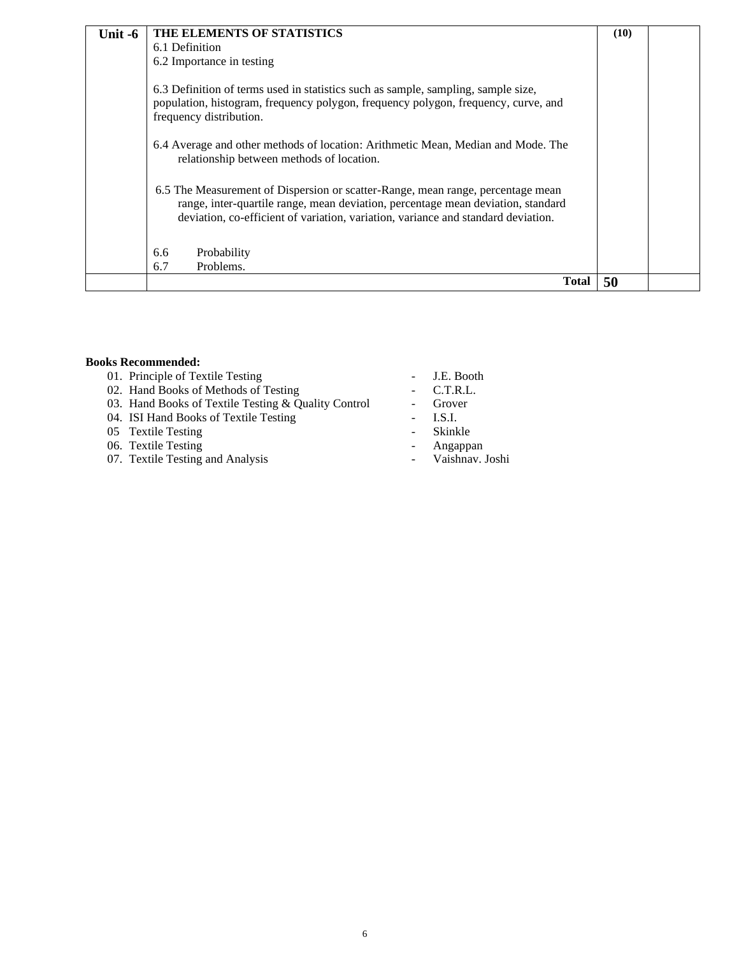| Unit -6 | THE ELEMENTS OF STATISTICS                                                                                                                                                                                                                               | (10) |  |
|---------|----------------------------------------------------------------------------------------------------------------------------------------------------------------------------------------------------------------------------------------------------------|------|--|
|         | 6.1 Definition                                                                                                                                                                                                                                           |      |  |
|         | 6.2 Importance in testing                                                                                                                                                                                                                                |      |  |
|         | 6.3 Definition of terms used in statistics such as sample, sampling, sample size,<br>population, histogram, frequency polygon, frequency polygon, frequency, curve, and<br>frequency distribution.                                                       |      |  |
|         | 6.4 Average and other methods of location: Arithmetic Mean, Median and Mode. The<br>relationship between methods of location.                                                                                                                            |      |  |
|         | 6.5 The Measurement of Dispersion or scatter-Range, mean range, percentage mean<br>range, inter-quartile range, mean deviation, percentage mean deviation, standard<br>deviation, co-efficient of variation, variation, variance and standard deviation. |      |  |
|         | 6.6<br>Probability                                                                                                                                                                                                                                       |      |  |
|         | Problems.<br>6.7                                                                                                                                                                                                                                         |      |  |
|         | <b>Total</b>                                                                                                                                                                                                                                             | 50   |  |

#### **Books Recommended:**

- 01. Principle of Textile Testing **COVID-100** J.E. Booth
- 02. Hand Books of Methods of Testing Fig. 2. T.R.L.
- 03. Hand Books of Textile Testing & Quality Control Grover
- 04. ISI Hand Books of Textile Testing The Contract Contract Contract Contract Contract Contract Contract Contract Contract Contract Contract Contract Contract Contract Contract Contract Contract Contract Contract Contract
- 
- 05 Textile Testing Skinkle<br>06. Textile Testing Angappan 06. Textile Testing and the contract of the contract of the Angappan
- 07. Textile Testing and Analysis **Conserverse Conserversity** and Analysis **Conserversity** and Analysis **Conserversity** and Analysis **Conserversity** and Analysis **Conserversity** and Analysis **Conserversity** and Analysis **Co**
- 
- 
- 
- 
- 
- -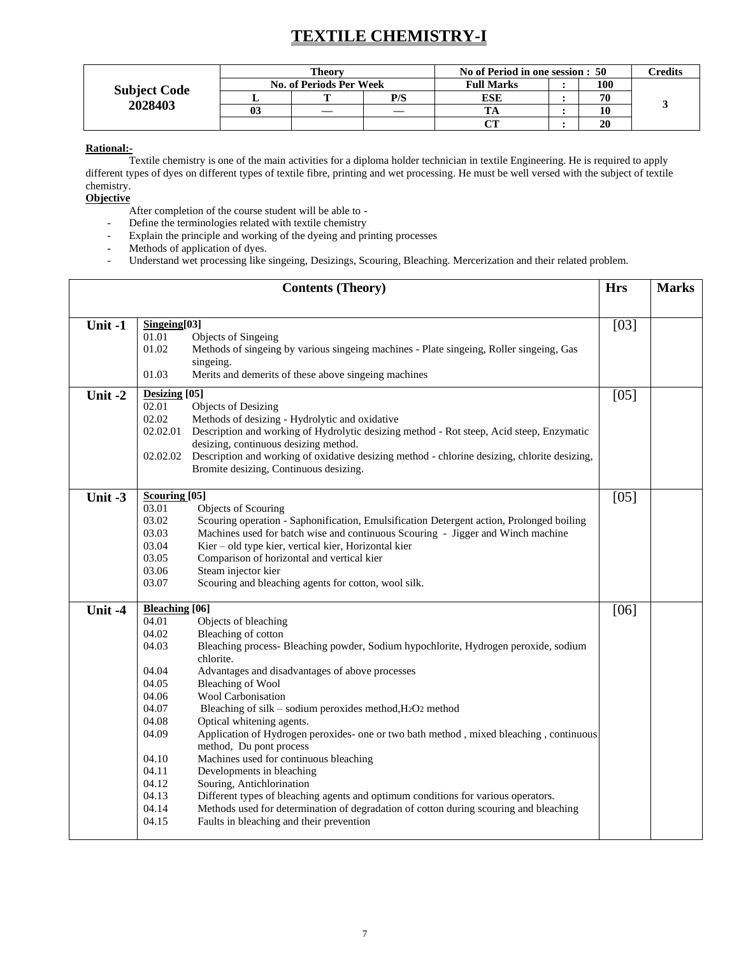## **TEXTILE CHEMISTRY-I**

|                     |    | <b>Theory</b>                  |     | No of Period in one session : 50 |  |     | Credits |
|---------------------|----|--------------------------------|-----|----------------------------------|--|-----|---------|
| <b>Subject Code</b> |    | <b>No. of Periods Per Week</b> |     | <b>Full Marks</b>                |  | 100 |         |
| 2028403             |    |                                | P/S | ESE                              |  | 70  |         |
|                     | 03 |                                |     |                                  |  | 10  |         |
|                     |    |                                |     |                                  |  | 20  |         |

#### **Rational:-**

Textile chemistry is one of the main activities for a diploma holder technician in textile Engineering. He is required to apply different types of dyes on different types of textile fibre, printing and wet processing. He must be well versed with the subject of textile chemistry.

**Objective** 

After completion of the course student will be able to -

- Define the terminologies related with textile chemistry
- Explain the principle and working of the dyeing and printing processes
- Methods of application of dyes.
- Understand wet processing like singeing, Desizings, Scouring, Bleaching. Mercerization and their related problem.

|         | <b>Hrs</b>                                                                                                                                                                                                                                                                                                                                                                                                                                                                                                                                                                                                                                                                                                                                                                                                                                                                                                                                                       | <b>Marks</b> |  |
|---------|------------------------------------------------------------------------------------------------------------------------------------------------------------------------------------------------------------------------------------------------------------------------------------------------------------------------------------------------------------------------------------------------------------------------------------------------------------------------------------------------------------------------------------------------------------------------------------------------------------------------------------------------------------------------------------------------------------------------------------------------------------------------------------------------------------------------------------------------------------------------------------------------------------------------------------------------------------------|--------------|--|
|         |                                                                                                                                                                                                                                                                                                                                                                                                                                                                                                                                                                                                                                                                                                                                                                                                                                                                                                                                                                  |              |  |
| Unit-1  | Singeing[03]<br>01.01<br>Objects of Singeing<br>01.02<br>Methods of singeing by various singeing machines - Plate singeing, Roller singeing, Gas<br>singeing.<br>Merits and demerits of these above singeing machines<br>01.03                                                                                                                                                                                                                                                                                                                                                                                                                                                                                                                                                                                                                                                                                                                                   | [03]         |  |
| Unit-2  | Desizing [05]<br>02.01<br>Objects of Desizing<br>02.02<br>Methods of desizing - Hydrolytic and oxidative<br>02.02.01<br>Description and working of Hydrolytic desizing method - Rot steep, Acid steep, Enzymatic<br>desizing, continuous desizing method.<br>Description and working of oxidative desizing method - chlorine desizing, chlorite desizing,<br>02.02.02<br>Bromite desizing, Continuous desizing.                                                                                                                                                                                                                                                                                                                                                                                                                                                                                                                                                  | $[05]$       |  |
| Unit -3 | Scouring [05]<br>03.01<br>Objects of Scouring<br>03.02<br>Scouring operation - Saphonification, Emulsification Detergent action, Prolonged boiling<br>03.03<br>Machines used for batch wise and continuous Scouring - Jigger and Winch machine<br>03.04<br>Kier - old type kier, vertical kier, Horizontal kier<br>03.05<br>Comparison of horizontal and vertical kier<br>03.06<br>Steam injector kier<br>03.07<br>Scouring and bleaching agents for cotton, wool silk.                                                                                                                                                                                                                                                                                                                                                                                                                                                                                          | $[05]$       |  |
| Unit -4 | <b>Bleaching</b> [06]<br>04.01<br>Objects of bleaching<br>04.02<br>Bleaching of cotton<br>04.03<br>Bleaching process- Bleaching powder, Sodium hypochlorite, Hydrogen peroxide, sodium<br>chlorite.<br>04.04<br>Advantages and disadvantages of above processes<br>04.05<br>Bleaching of Wool<br>04.06<br><b>Wool Carbonisation</b><br>04.07<br>Bleaching of silk – sodium peroxides method, H2O2 method<br>04.08<br>Optical whitening agents.<br>04.09<br>Application of Hydrogen peroxides- one or two bath method, mixed bleaching, continuous<br>method, Du pont process<br>Machines used for continuous bleaching<br>04.10<br>04.11<br>Developments in bleaching<br>04.12<br>Souring, Antichlorination<br>04.13<br>Different types of bleaching agents and optimum conditions for various operators.<br>04.14<br>Methods used for determination of degradation of cotton during scouring and bleaching<br>04.15<br>Faults in bleaching and their prevention | [06]         |  |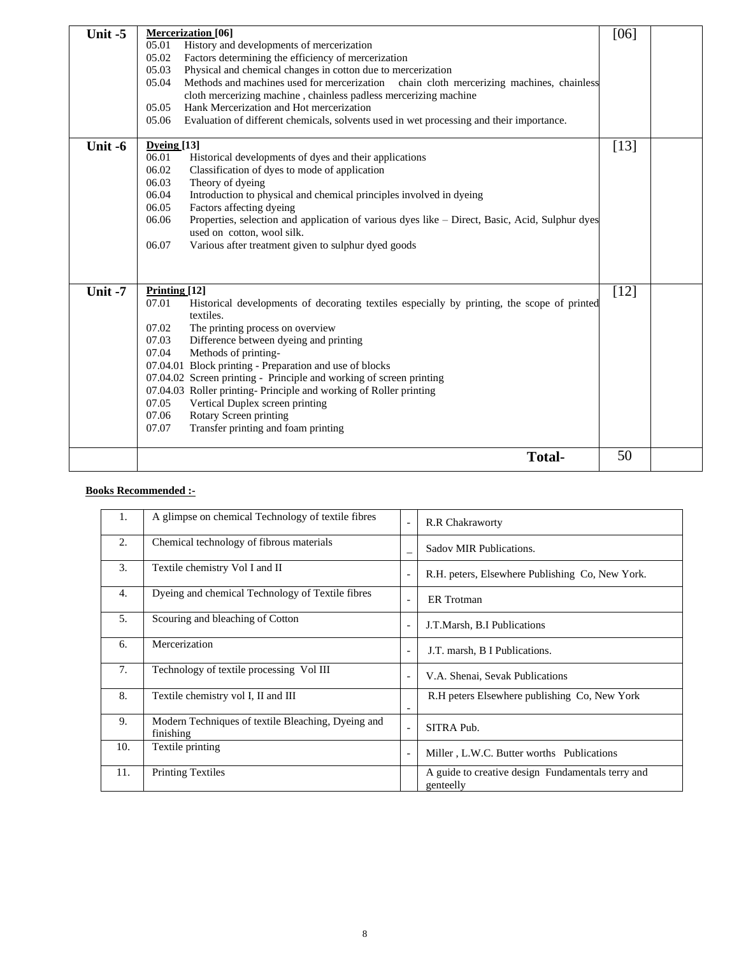| Unit -5 | <b>Mercerization</b> [06]<br>History and developments of mercerization<br>05.01<br>Factors determining the efficiency of mercerization<br>05.02<br>Physical and chemical changes in cotton due to mercerization<br>05.03<br>Methods and machines used for mercerization<br>05.04<br>chain cloth mercerizing machines, chainless<br>cloth mercerizing machine, chainless padless mercerizing machine<br>05.05<br>Hank Mercerization and Hot mercerization<br>Evaluation of different chemicals, solvents used in wet processing and their importance.<br>05.06                                               | [06]   |  |
|---------|-------------------------------------------------------------------------------------------------------------------------------------------------------------------------------------------------------------------------------------------------------------------------------------------------------------------------------------------------------------------------------------------------------------------------------------------------------------------------------------------------------------------------------------------------------------------------------------------------------------|--------|--|
| Unit -6 | Dyeing[13]<br>06.01<br>Historical developments of dyes and their applications<br>06.02<br>Classification of dyes to mode of application<br>06.03<br>Theory of dyeing<br>06.04<br>Introduction to physical and chemical principles involved in dyeing<br>Factors affecting dyeing<br>06.05<br>06.06<br>Properties, selection and application of various dyes like – Direct, Basic, Acid, Sulphur dyes<br>used on cotton, wool silk.<br>Various after treatment given to sulphur dyed goods<br>06.07                                                                                                          | $[13]$ |  |
| Unit -7 | Printing $[12]$<br>Historical developments of decorating textiles especially by printing, the scope of printed<br>07.01<br>textiles.<br>The printing process on overview<br>07.02<br>07.03<br>Difference between dyeing and printing<br>07.04<br>Methods of printing-<br>07.04.01 Block printing - Preparation and use of blocks<br>07.04.02 Screen printing - Principle and working of screen printing<br>07.04.03 Roller printing-Principle and working of Roller printing<br>07.05<br>Vertical Duplex screen printing<br>Rotary Screen printing<br>07.06<br>Transfer printing and foam printing<br>07.07 | $[12]$ |  |
|         | <b>Total-</b>                                                                                                                                                                                                                                                                                                                                                                                                                                                                                                                                                                                               | 50     |  |

### **Books Recommended :-**

| 1.  | A glimpse on chemical Technology of textile fibres              | $\overline{\phantom{a}}$ | <b>R.R Chakraworty</b>                                         |
|-----|-----------------------------------------------------------------|--------------------------|----------------------------------------------------------------|
| 2.  | Chemical technology of fibrous materials                        |                          | Sadov MIR Publications.                                        |
| 3.  | Textile chemistry Vol I and II                                  | $\overline{\phantom{a}}$ | R.H. peters, Elsewhere Publishing Co, New York.                |
| 4.  | Dyeing and chemical Technology of Textile fibres                | $\overline{\phantom{a}}$ | <b>ER</b> Trotman                                              |
| 5.  | Scouring and bleaching of Cotton                                | $\overline{\phantom{a}}$ | J.T.Marsh, B.I Publications                                    |
| 6.  | Mercerization                                                   |                          | J.T. marsh, B I Publications.                                  |
| 7.  | Technology of textile processing Vol III                        | $\overline{\phantom{a}}$ | V.A. Shenai, Sevak Publications                                |
| 8.  | Textile chemistry vol I, II and III                             |                          | R.H peters Elsewhere publishing Co, New York                   |
| 9.  | Modern Techniques of textile Bleaching, Dyeing and<br>finishing | $\overline{\phantom{a}}$ | SITRA Pub.                                                     |
| 10. | Textile printing                                                |                          | Miller, L.W.C. Butter worths Publications                      |
| 11. | <b>Printing Textiles</b>                                        |                          | A guide to creative design Fundamentals terry and<br>genteelly |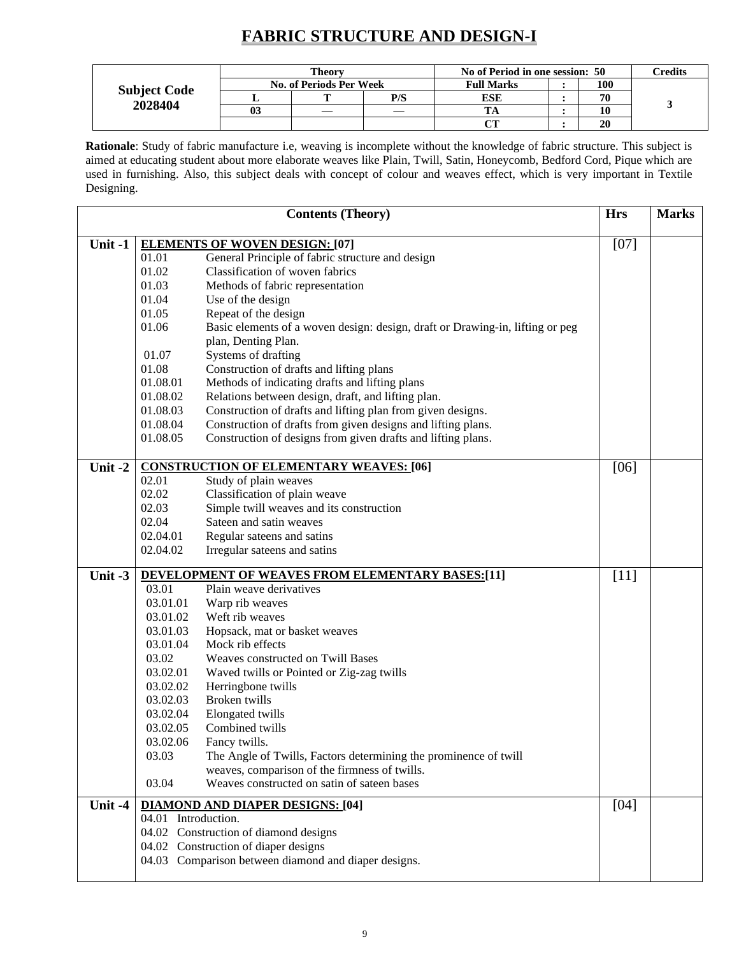## **FABRIC STRUCTURE AND DESIGN-I**

|                     | Theorv                         |     | No of Period in one session: 50 |  |     | <b>Predits</b> |
|---------------------|--------------------------------|-----|---------------------------------|--|-----|----------------|
| <b>Subject Code</b> | <b>No. of Periods Per Week</b> |     | <b>Full Marks</b>               |  | 100 |                |
| 2028404             | m                              | P/S | ESE                             |  | 70  |                |
|                     |                                |     |                                 |  | 10  |                |
|                     |                                |     | $\alpha$ tt                     |  | 20  |                |

**Rationale**: Study of fabric manufacture i.e, weaving is incomplete without the knowledge of fabric structure. This subject is aimed at educating student about more elaborate weaves like Plain, Twill, Satin, Honeycomb, Bedford Cord, Pique which are used in furnishing. Also, this subject deals with concept of colour and weaves effect, which is very important in Textile Designing.

|           |                     | <b>Contents (Theory)</b>                                                      | <b>Hrs</b> | <b>Marks</b> |
|-----------|---------------------|-------------------------------------------------------------------------------|------------|--------------|
| Unit -1   |                     | <b>ELEMENTS OF WOVEN DESIGN: [07]</b>                                         | $[07]$     |              |
|           | 01.01               | General Principle of fabric structure and design                              |            |              |
|           | 01.02               | Classification of woven fabrics                                               |            |              |
|           | 01.03               | Methods of fabric representation                                              |            |              |
|           | 01.04               | Use of the design                                                             |            |              |
|           | 01.05               | Repeat of the design                                                          |            |              |
|           | 01.06               | Basic elements of a woven design: design, draft or Drawing-in, lifting or peg |            |              |
|           |                     | plan, Denting Plan.                                                           |            |              |
|           | 01.07               | Systems of drafting                                                           |            |              |
|           | 01.08               | Construction of drafts and lifting plans                                      |            |              |
|           | 01.08.01            | Methods of indicating drafts and lifting plans                                |            |              |
|           | 01.08.02            | Relations between design, draft, and lifting plan.                            |            |              |
|           | 01.08.03            | Construction of drafts and lifting plan from given designs.                   |            |              |
|           | 01.08.04            | Construction of drafts from given designs and lifting plans.                  |            |              |
|           | 01.08.05            | Construction of designs from given drafts and lifting plans.                  |            |              |
| Unit $-2$ |                     | <b>CONSTRUCTION OF ELEMENTARY WEAVES: [06]</b>                                | [06]       |              |
|           | 02.01               | Study of plain weaves                                                         |            |              |
|           | 02.02               | Classification of plain weave                                                 |            |              |
|           | 02.03               | Simple twill weaves and its construction                                      |            |              |
|           | 02.04               | Sateen and satin weaves                                                       |            |              |
|           | 02.04.01            | Regular sateens and satins                                                    |            |              |
|           | 02.04.02            | Irregular sateens and satins                                                  |            |              |
| Unit $-3$ |                     | <b>DEVELOPMENT OF WEAVES FROM ELEMENTARY BASES:[11]</b>                       | $[11]$     |              |
|           | 03.01               | Plain weave derivatives                                                       |            |              |
|           | 03.01.01            | Warp rib weaves                                                               |            |              |
|           | 03.01.02            | Weft rib weaves                                                               |            |              |
|           | 03.01.03            | Hopsack, mat or basket weaves                                                 |            |              |
|           | 03.01.04            | Mock rib effects                                                              |            |              |
|           | 03.02               | Weaves constructed on Twill Bases                                             |            |              |
|           | 03.02.01            | Waved twills or Pointed or Zig-zag twills                                     |            |              |
|           | 03.02.02            | Herringbone twills                                                            |            |              |
|           | 03.02.03            | Broken twills                                                                 |            |              |
|           | 03.02.04            | Elongated twills                                                              |            |              |
|           | 03.02.05            | Combined twills                                                               |            |              |
|           | 03.02.06            | Fancy twills.                                                                 |            |              |
|           | 03.03               | The Angle of Twills, Factors determining the prominence of twill              |            |              |
|           |                     | weaves, comparison of the firmness of twills.                                 |            |              |
|           | 03.04               | Weaves constructed on satin of sateen bases                                   |            |              |
| Unit -4   |                     | <b>DIAMOND AND DIAPER DESIGNS: [04]</b>                                       | [04]       |              |
|           | 04.01 Introduction. | 04.02 Construction of diamond designs                                         |            |              |
|           |                     | 04.02 Construction of diaper designs                                          |            |              |
|           |                     | 04.03 Comparison between diamond and diaper designs.                          |            |              |
|           |                     |                                                                               |            |              |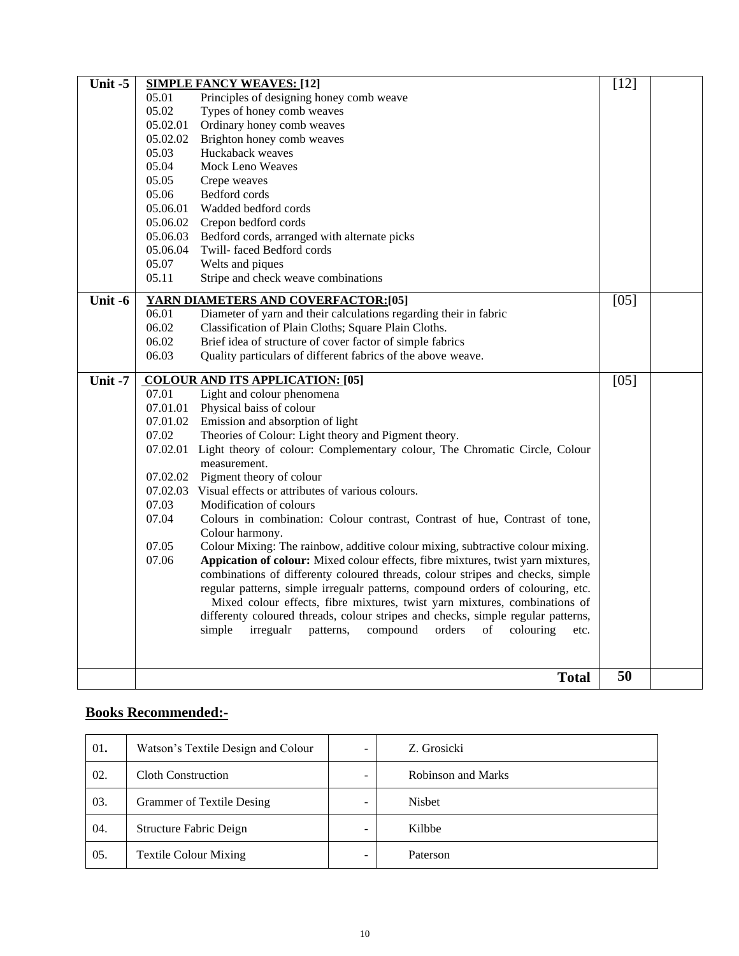| Unit -5   |          | <b>SIMPLE FANCY WEAVES: [12]</b>                                                                    | $[12]$ |  |
|-----------|----------|-----------------------------------------------------------------------------------------------------|--------|--|
|           | 05.01    | Principles of designing honey comb weave                                                            |        |  |
|           | 05.02    | Types of honey comb weaves                                                                          |        |  |
|           | 05.02.01 | Ordinary honey comb weaves                                                                          |        |  |
|           | 05.02.02 | Brighton honey comb weaves                                                                          |        |  |
|           | 05.03    | Huckaback weaves                                                                                    |        |  |
|           | 05.04    | <b>Mock Leno Weaves</b>                                                                             |        |  |
|           | 05.05    | Crepe weaves                                                                                        |        |  |
|           | 05.06    | Bedford cords                                                                                       |        |  |
|           | 05.06.01 | Wadded bedford cords                                                                                |        |  |
|           | 05.06.02 | Crepon bedford cords                                                                                |        |  |
|           | 05.06.03 | Bedford cords, arranged with alternate picks                                                        |        |  |
|           | 05.06.04 | Twill-faced Bedford cords                                                                           |        |  |
|           | 05.07    | Welts and piques                                                                                    |        |  |
|           | 05.11    | Stripe and check weave combinations                                                                 |        |  |
| Unit -6   |          | YARN DIAMETERS AND COVERFACTOR:[05]                                                                 | $[05]$ |  |
|           | 06.01    | Diameter of yarn and their calculations regarding their in fabric                                   |        |  |
|           | 06.02    | Classification of Plain Cloths; Square Plain Cloths.                                                |        |  |
|           | 06.02    | Brief idea of structure of cover factor of simple fabrics                                           |        |  |
|           | 06.03    | Quality particulars of different fabrics of the above weave.                                        |        |  |
|           |          |                                                                                                     |        |  |
| Unit $-7$ |          | <b>COLOUR AND ITS APPLICATION: [05]</b>                                                             | $[05]$ |  |
|           | 07.01    | Light and colour phenomena                                                                          |        |  |
|           | 07.01.01 | Physical baiss of colour                                                                            |        |  |
|           | 07.01.02 | Emission and absorption of light                                                                    |        |  |
|           | 07.02    | Theories of Colour: Light theory and Pigment theory.                                                |        |  |
|           |          | 07.02.01 Light theory of colour: Complementary colour, The Chromatic Circle, Colour<br>measurement. |        |  |
|           | 07.02.02 | Pigment theory of colour                                                                            |        |  |
|           | 07.02.03 | Visual effects or attributes of various colours.                                                    |        |  |
|           | 07.03    | Modification of colours                                                                             |        |  |
|           | 07.04    | Colours in combination: Colour contrast, Contrast of hue, Contrast of tone,                         |        |  |
|           |          | Colour harmony.                                                                                     |        |  |
|           | 07.05    | Colour Mixing: The rainbow, additive colour mixing, subtractive colour mixing.                      |        |  |
|           | 07.06    | Appication of colour: Mixed colour effects, fibre mixtures, twist yarn mixtures,                    |        |  |
|           |          | combinations of differenty coloured threads, colour stripes and checks, simple                      |        |  |
|           |          | regular patterns, simple irregualr patterns, compound orders of colouring, etc.                     |        |  |
|           |          | Mixed colour effects, fibre mixtures, twist yarn mixtures, combinations of                          |        |  |
|           |          | differenty coloured threads, colour stripes and checks, simple regular patterns,                    |        |  |
|           |          | irregualr<br>compound<br>simple<br>patterns,<br>orders<br>colouring<br>of<br>etc.                   |        |  |
|           |          |                                                                                                     |        |  |
|           |          | <b>Total</b>                                                                                        | 50     |  |
|           |          |                                                                                                     |        |  |

### **Books Recommended:-**

| 01. | Watson's Textile Design and Colour |   | Z. Grosicki               |
|-----|------------------------------------|---|---------------------------|
| 02. | <b>Cloth Construction</b>          |   | <b>Robinson and Marks</b> |
| 03. | <b>Grammer of Textile Desing</b>   |   | <b>Nisbet</b>             |
| 04. | Structure Fabric Deign             | - | Kilbbe                    |
| 05. | <b>Textile Colour Mixing</b>       |   | Paterson                  |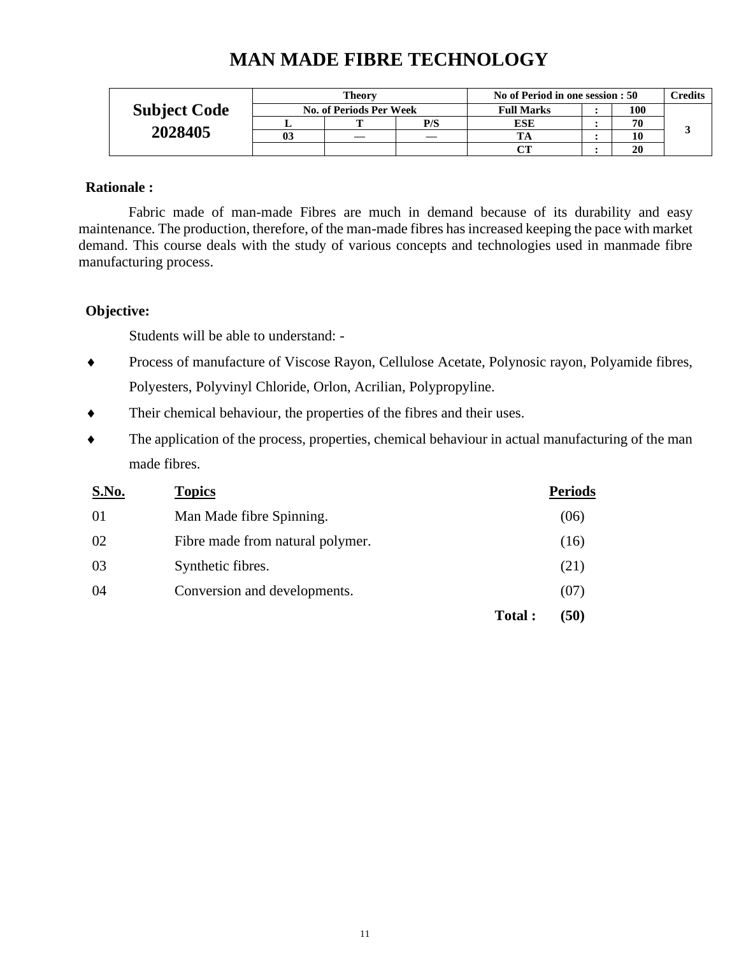|                     |    | <b>Theory</b>                  |     | No of Period in one session : 50 |  |     | $\Gamma$ redits |
|---------------------|----|--------------------------------|-----|----------------------------------|--|-----|-----------------|
| <b>Subject Code</b> |    | <b>No. of Periods Per Week</b> |     | <b>Full Marks</b>                |  | 100 |                 |
|                     |    |                                | P/S | ESE                              |  | 70  |                 |
| 2028405             | 03 |                                |     |                                  |  | 10  |                 |
|                     |    |                                |     |                                  |  | 20  |                 |

## **MAN MADE FIBRE TECHNOLOGY**

### **Rationale :**

Fabric made of man-made Fibres are much in demand because of its durability and easy maintenance. The production, therefore, of the man-made fibres has increased keeping the pace with market demand. This course deals with the study of various concepts and technologies used in manmade fibre manufacturing process.

### **Objective:**

Students will be able to understand: -

- Process of manufacture of Viscose Rayon, Cellulose Acetate, Polynosic rayon, Polyamide fibres, Polyesters, Polyvinyl Chloride, Orlon, Acrilian, Polypropyline.
- Their chemical behaviour, the properties of the fibres and their uses.
- The application of the process, properties, chemical behaviour in actual manufacturing of the man made fibres.

| S.No. | <b>Topics</b>                    |        | <b>Periods</b> |
|-------|----------------------------------|--------|----------------|
| 01    | Man Made fibre Spinning.         |        | (06)           |
| 02    | Fibre made from natural polymer. |        | (16)           |
| 03    | Synthetic fibres.                |        | (21)           |
| 04    | Conversion and developments.     |        | (07)           |
|       |                                  | Total: | (50)           |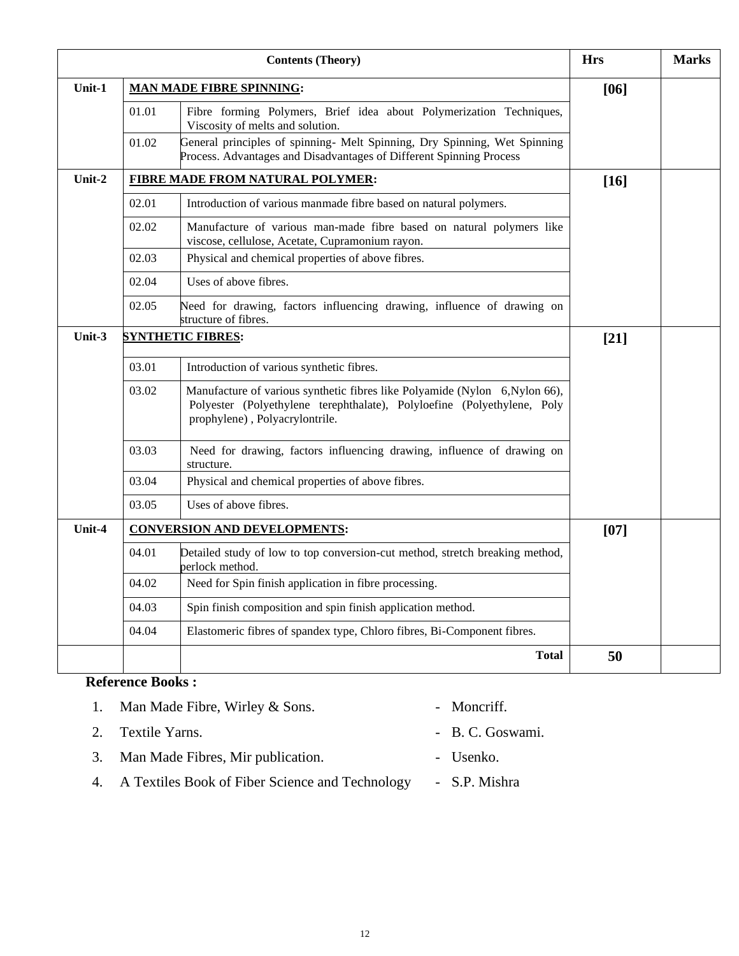|        |       | <b>Hrs</b>                                                                                                                                                                               | <b>Marks</b> |  |
|--------|-------|------------------------------------------------------------------------------------------------------------------------------------------------------------------------------------------|--------------|--|
| Unit-1 |       | <b>MAN MADE FIBRE SPINNING:</b>                                                                                                                                                          | $[06]$       |  |
|        | 01.01 | Fibre forming Polymers, Brief idea about Polymerization Techniques,<br>Viscosity of melts and solution.                                                                                  |              |  |
|        | 01.02 | General principles of spinning- Melt Spinning, Dry Spinning, Wet Spinning<br>Process. Advantages and Disadvantages of Different Spinning Process                                         |              |  |
| Unit-2 |       | <b>FIBRE MADE FROM NATURAL POLYMER:</b>                                                                                                                                                  | $[16]$       |  |
|        | 02.01 | Introduction of various manmade fibre based on natural polymers.                                                                                                                         |              |  |
|        | 02.02 | Manufacture of various man-made fibre based on natural polymers like<br>viscose, cellulose, Acetate, Cupramonium rayon.                                                                  |              |  |
|        | 02.03 | Physical and chemical properties of above fibres.                                                                                                                                        |              |  |
|        | 02.04 | Uses of above fibres.                                                                                                                                                                    |              |  |
|        | 02.05 | Need for drawing, factors influencing drawing, influence of drawing on<br>structure of fibres.                                                                                           |              |  |
| Unit-3 |       | <b>SYNTHETIC FIBRES:</b>                                                                                                                                                                 | $[21]$       |  |
|        | 03.01 | Introduction of various synthetic fibres.                                                                                                                                                |              |  |
|        | 03.02 | Manufacture of various synthetic fibres like Polyamide (Nylon 6, Nylon 66),<br>Polyester (Polyethylene terephthalate), Polyloefine (Polyethylene, Poly<br>prophylene), Polyacrylontrile. |              |  |
|        | 03.03 | Need for drawing, factors influencing drawing, influence of drawing on<br>structure.                                                                                                     |              |  |
|        | 03.04 | Physical and chemical properties of above fibres.                                                                                                                                        |              |  |
|        | 03.05 | Uses of above fibres.                                                                                                                                                                    |              |  |
| Unit-4 |       | <b>CONVERSION AND DEVELOPMENTS:</b>                                                                                                                                                      | $[07]$       |  |
|        | 04.01 | Detailed study of low to top conversion-cut method, stretch breaking method,<br>perlock method.                                                                                          |              |  |
|        | 04.02 | Need for Spin finish application in fibre processing.                                                                                                                                    |              |  |
|        | 04.03 | Spin finish composition and spin finish application method.                                                                                                                              |              |  |
|        | 04.04 | Elastomeric fibres of spandex type, Chloro fibres, Bi-Component fibres.                                                                                                                  |              |  |
|        |       | <b>Total</b>                                                                                                                                                                             | 50           |  |

### **Reference Books :**

| 1. Man Made Fibre, Wirley & Sons.                  | - Moncriff.      |
|----------------------------------------------------|------------------|
| 2. Textile Yarns.                                  | - B. C. Goswami. |
| 3. Man Made Fibres, Mir publication.               | - Usenko.        |
| 4. A Textiles Book of Fiber Science and Technology | - S.P. Mishra    |
|                                                    |                  |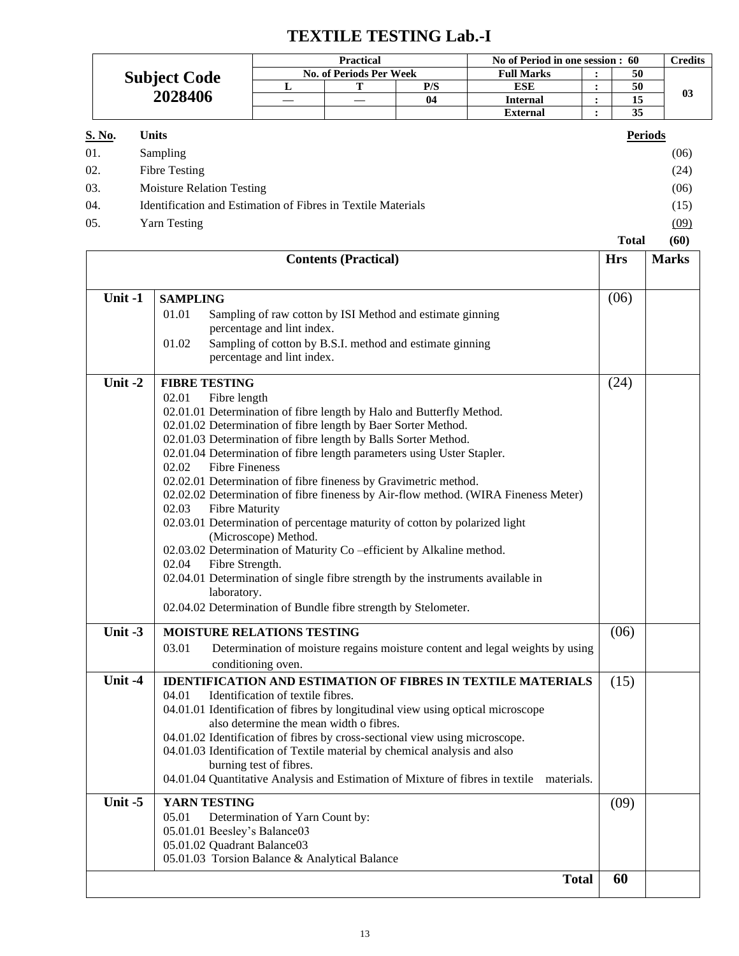## **TEXTILE TESTING Lab.-I**

|         |                     | <b>Practical</b>                                                                                                                |                       |                                                                            | No of Period in one session : 60                                            |                   |                                                                                          | <b>Credits</b> |              |      |
|---------|---------------------|---------------------------------------------------------------------------------------------------------------------------------|-----------------------|----------------------------------------------------------------------------|-----------------------------------------------------------------------------|-------------------|------------------------------------------------------------------------------------------|----------------|--------------|------|
|         | <b>Subject Code</b> |                                                                                                                                 |                       | <b>No. of Periods Per Week</b>                                             |                                                                             | <b>Full Marks</b> | :                                                                                        | 50             |              |      |
| 2028406 |                     | L                                                                                                                               | Т                     | P/S                                                                        | <b>ESE</b>                                                                  | $\ddot{\cdot}$    | 50                                                                                       | 03             |              |      |
|         |                     |                                                                                                                                 |                       | 04                                                                         | <b>Internal</b>                                                             | $\ddot{\cdot}$    | 15                                                                                       |                |              |      |
|         |                     |                                                                                                                                 |                       |                                                                            |                                                                             |                   | <b>External</b>                                                                          | $\ddot{\cdot}$ | 35           |      |
| S. No.  | <b>Units</b>        |                                                                                                                                 |                       |                                                                            |                                                                             |                   |                                                                                          |                |              |      |
| 01.     |                     | Sampling                                                                                                                        |                       |                                                                            |                                                                             |                   |                                                                                          |                |              | (06) |
| 02.     |                     | <b>Fibre Testing</b>                                                                                                            |                       |                                                                            |                                                                             |                   |                                                                                          |                |              | (24) |
| 03.     |                     | <b>Moisture Relation Testing</b>                                                                                                |                       |                                                                            |                                                                             |                   |                                                                                          |                |              | (06) |
| 04.     |                     |                                                                                                                                 |                       |                                                                            | Identification and Estimation of Fibres in Textile Materials                |                   |                                                                                          |                |              | (15) |
| 05.     |                     | <b>Yarn Testing</b>                                                                                                             |                       |                                                                            |                                                                             |                   |                                                                                          |                |              | (09) |
|         |                     |                                                                                                                                 |                       |                                                                            |                                                                             |                   |                                                                                          | <b>Total</b>   |              | (60) |
|         |                     |                                                                                                                                 |                       |                                                                            | <b>Contents (Practical)</b>                                                 |                   |                                                                                          | <b>Hrs</b>     | <b>Marks</b> |      |
|         |                     |                                                                                                                                 |                       |                                                                            |                                                                             |                   |                                                                                          |                |              |      |
| Unit -1 |                     | <b>SAMPLING</b>                                                                                                                 |                       |                                                                            |                                                                             |                   |                                                                                          | (06)           |              |      |
|         |                     | 01.01                                                                                                                           |                       |                                                                            | Sampling of raw cotton by ISI Method and estimate ginning                   |                   |                                                                                          |                |              |      |
|         |                     | 01.02                                                                                                                           |                       | percentage and lint index.                                                 | Sampling of cotton by B.S.I. method and estimate ginning                    |                   |                                                                                          |                |              |      |
|         |                     |                                                                                                                                 |                       |                                                                            |                                                                             |                   |                                                                                          |                |              |      |
|         |                     | percentage and lint index.                                                                                                      |                       |                                                                            |                                                                             |                   |                                                                                          |                |              |      |
| Unit-2  |                     |                                                                                                                                 | <b>FIBRE TESTING</b>  |                                                                            |                                                                             |                   |                                                                                          | (24)           |              |      |
|         |                     | 02.01<br>Fibre length                                                                                                           |                       |                                                                            |                                                                             |                   |                                                                                          |                |              |      |
|         |                     | 02.01.01 Determination of fibre length by Halo and Butterfly Method.                                                            |                       |                                                                            |                                                                             |                   |                                                                                          |                |              |      |
|         |                     | 02.01.02 Determination of fibre length by Baer Sorter Method.<br>02.01.03 Determination of fibre length by Balls Sorter Method. |                       |                                                                            |                                                                             |                   |                                                                                          |                |              |      |
|         |                     | 02.01.04 Determination of fibre length parameters using Uster Stapler.                                                          |                       |                                                                            |                                                                             |                   |                                                                                          |                |              |      |
|         |                     | 02.02                                                                                                                           | <b>Fibre Fineness</b> |                                                                            |                                                                             |                   |                                                                                          |                |              |      |
|         |                     |                                                                                                                                 |                       |                                                                            | 02.02.01 Determination of fibre fineness by Gravimetric method.             |                   |                                                                                          |                |              |      |
|         |                     |                                                                                                                                 |                       |                                                                            |                                                                             |                   | 02.02.02 Determination of fibre fineness by Air-flow method. (WIRA Fineness Meter)       |                |              |      |
|         |                     | 02.03                                                                                                                           | <b>Fibre Maturity</b> |                                                                            |                                                                             |                   |                                                                                          |                |              |      |
|         |                     |                                                                                                                                 |                       | 02.03.01 Determination of percentage maturity of cotton by polarized light |                                                                             |                   |                                                                                          |                |              |      |
|         |                     |                                                                                                                                 | (Microscope) Method.  |                                                                            |                                                                             |                   |                                                                                          |                |              |      |
|         |                     | 02.04                                                                                                                           | Fibre Strength.       | 02.03.02 Determination of Maturity Co-efficient by Alkaline method.        |                                                                             |                   |                                                                                          |                |              |      |
|         |                     |                                                                                                                                 |                       |                                                                            |                                                                             |                   | 02.04.01 Determination of single fibre strength by the instruments available in          |                |              |      |
|         |                     |                                                                                                                                 | laboratory.           |                                                                            |                                                                             |                   |                                                                                          |                |              |      |
|         |                     |                                                                                                                                 |                       |                                                                            | 02.04.02 Determination of Bundle fibre strength by Stelometer.              |                   |                                                                                          |                |              |      |
| Unit -3 |                     |                                                                                                                                 |                       | <b>MOISTURE RELATIONS TESTING</b>                                          |                                                                             |                   |                                                                                          | (06)           |              |      |
|         |                     | 03.01                                                                                                                           |                       |                                                                            |                                                                             |                   | Determination of moisture regains moisture content and legal weights by using            |                |              |      |
|         |                     |                                                                                                                                 |                       | conditioning oven.                                                         |                                                                             |                   |                                                                                          |                |              |      |
| Unit -4 |                     |                                                                                                                                 |                       |                                                                            |                                                                             |                   | <b>IDENTIFICATION AND ESTIMATION OF FIBRES IN TEXTILE MATERIALS</b>                      | (15)           |              |      |
|         |                     | 04.01                                                                                                                           |                       | Identification of textile fibres.                                          |                                                                             |                   |                                                                                          |                |              |      |
|         |                     |                                                                                                                                 |                       |                                                                            | also determine the mean width o fibres.                                     |                   | 04.01.01 Identification of fibres by longitudinal view using optical microscope          |                |              |      |
|         |                     |                                                                                                                                 |                       |                                                                            | 04.01.02 Identification of fibres by cross-sectional view using microscope. |                   |                                                                                          |                |              |      |
|         |                     |                                                                                                                                 |                       |                                                                            | 04.01.03 Identification of Textile material by chemical analysis and also   |                   |                                                                                          |                |              |      |
|         |                     |                                                                                                                                 |                       | burning test of fibres.                                                    |                                                                             |                   |                                                                                          |                |              |      |
|         |                     |                                                                                                                                 |                       |                                                                            |                                                                             |                   | 04.01.04 Quantitative Analysis and Estimation of Mixture of fibres in textile materials. |                |              |      |
| Unit -5 |                     |                                                                                                                                 | YARN TESTING          |                                                                            |                                                                             |                   |                                                                                          | (09)           |              |      |
|         |                     | 05.01                                                                                                                           |                       | Determination of Yarn Count by:                                            |                                                                             |                   |                                                                                          |                |              |      |
|         |                     |                                                                                                                                 |                       | 05.01.01 Beesley's Balance03                                               |                                                                             |                   |                                                                                          |                |              |      |
|         |                     |                                                                                                                                 |                       | 05.01.02 Quadrant Balance03                                                |                                                                             |                   |                                                                                          |                |              |      |
|         |                     |                                                                                                                                 |                       |                                                                            | 05.01.03 Torsion Balance & Analytical Balance                               |                   |                                                                                          |                |              |      |

**Total 60**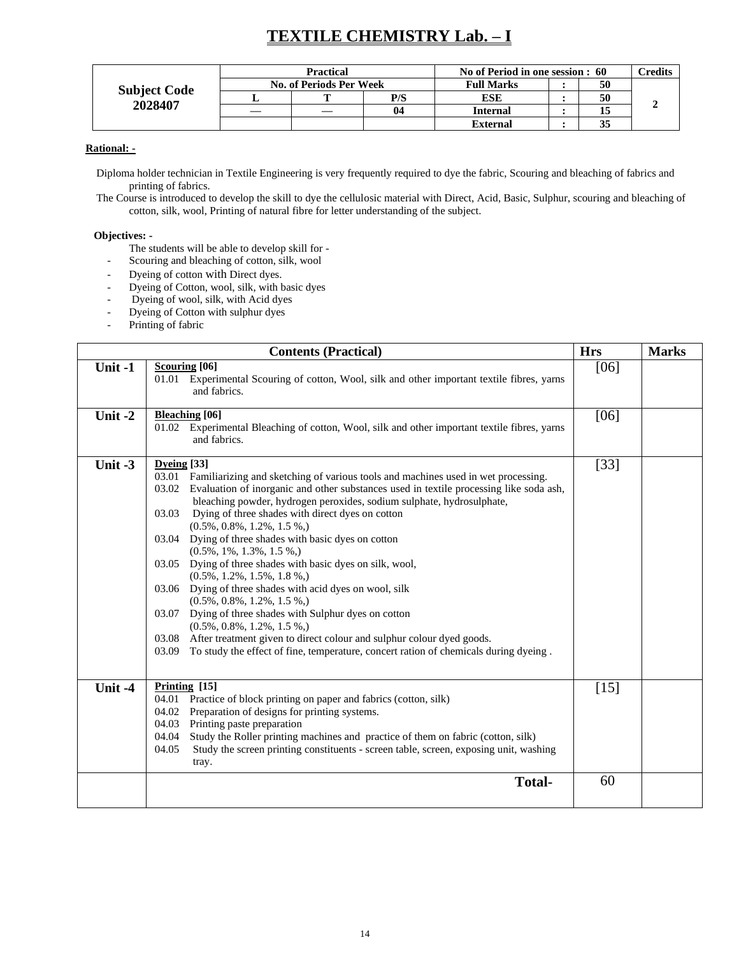## **TEXTILE CHEMISTRY Lab. – I**

|                     |   | <b>Practical</b>               |     | No of Period in one session : 60 | $\gamma$ redits |  |
|---------------------|---|--------------------------------|-----|----------------------------------|-----------------|--|
| <b>Subject Code</b> |   | <b>No. of Periods Per Week</b> |     | <b>Full Marks</b>                | 50              |  |
|                     |   |                                | P/S | ESE                              | 50              |  |
| 2028407             | — |                                | 04  | <b>Internal</b>                  |                 |  |
|                     |   |                                |     | <b>External</b>                  | 35              |  |

#### **Rational: -**

Diploma holder technician in Textile Engineering is very frequently required to dye the fabric, Scouring and bleaching of fabrics and printing of fabrics.

The Course is introduced to develop the skill to dye the cellulosic material with Direct, Acid, Basic, Sulphur, scouring and bleaching of cotton, silk, wool, Printing of natural fibre for letter understanding of the subject.

#### **Objectives: -**

- The students will be able to develop skill for -
- Scouring and bleaching of cotton, silk, wool
- Dyeing of cotton with Direct dyes.
- Dyeing of Cotton, wool, silk, with basic dyes
- Dyeing of wool, silk, with Acid dyes
- Dyeing of Cotton with sulphur dyes
- Printing of fabric

|           | <b>Contents (Practical)</b>                                                                                                                                                                                                                                                                                                                                                                                                                                                                                                                                                                                                                                                                                                                                                                                                                                                                                                                     | <b>Hrs</b> | <b>Marks</b> |
|-----------|-------------------------------------------------------------------------------------------------------------------------------------------------------------------------------------------------------------------------------------------------------------------------------------------------------------------------------------------------------------------------------------------------------------------------------------------------------------------------------------------------------------------------------------------------------------------------------------------------------------------------------------------------------------------------------------------------------------------------------------------------------------------------------------------------------------------------------------------------------------------------------------------------------------------------------------------------|------------|--------------|
| Unit -1   | <b>Scouring</b> [06]<br>01.01 Experimental Scouring of cotton, Wool, silk and other important textile fibres, yarns<br>and fabrics.                                                                                                                                                                                                                                                                                                                                                                                                                                                                                                                                                                                                                                                                                                                                                                                                             | [06]       |              |
| Unit $-2$ | <b>Bleaching</b> [06]<br>01.02 Experimental Bleaching of cotton, Wool, silk and other important textile fibres, yarns<br>and fabrics.                                                                                                                                                                                                                                                                                                                                                                                                                                                                                                                                                                                                                                                                                                                                                                                                           | [06]       |              |
| Unit $-3$ | Dyeing $[33]$<br>03.01 Familiarizing and sketching of various tools and machines used in wet processing.<br>03.02 Evaluation of inorganic and other substances used in textile processing like soda ash,<br>bleaching powder, hydrogen peroxides, sodium sulphate, hydrosulphate,<br>Dying of three shades with direct dyes on cotton<br>03.03<br>$(0.5\%, 0.8\%, 1.2\%, 1.5\%$<br>03.04 Dying of three shades with basic dyes on cotton<br>$(0.5\%, 1\%, 1.3\%, 1.5\%$<br>03.05 Dying of three shades with basic dyes on silk, wool,<br>$(0.5\%, 1.2\%, 1.5\%, 1.8\%$<br>03.06 Dying of three shades with acid dyes on wool, silk<br>$(0.5\%, 0.8\%, 1.2\%, 1.5\%$<br>03.07 Dying of three shades with Sulphur dyes on cotton<br>$(0.5\%, 0.8\%, 1.2\%, 1.5\%$<br>03.08 After treatment given to direct colour and sulphur colour dyed goods.<br>To study the effect of fine, temperature, concert ration of chemicals during dyeing.<br>03.09 | $[33]$     |              |
| Unit-4    | Printing $[15]$<br>04.01 Practice of block printing on paper and fabrics (cotton, silk)<br>04.02 Preparation of designs for printing systems.<br>04.03 Printing paste preparation<br>04.04 Study the Roller printing machines and practice of them on fabric (cotton, silk)<br>Study the screen printing constituents - screen table, screen, exposing unit, washing<br>04.05<br>tray.                                                                                                                                                                                                                                                                                                                                                                                                                                                                                                                                                          | $[15]$     |              |
|           | <b>Total-</b>                                                                                                                                                                                                                                                                                                                                                                                                                                                                                                                                                                                                                                                                                                                                                                                                                                                                                                                                   | 60         |              |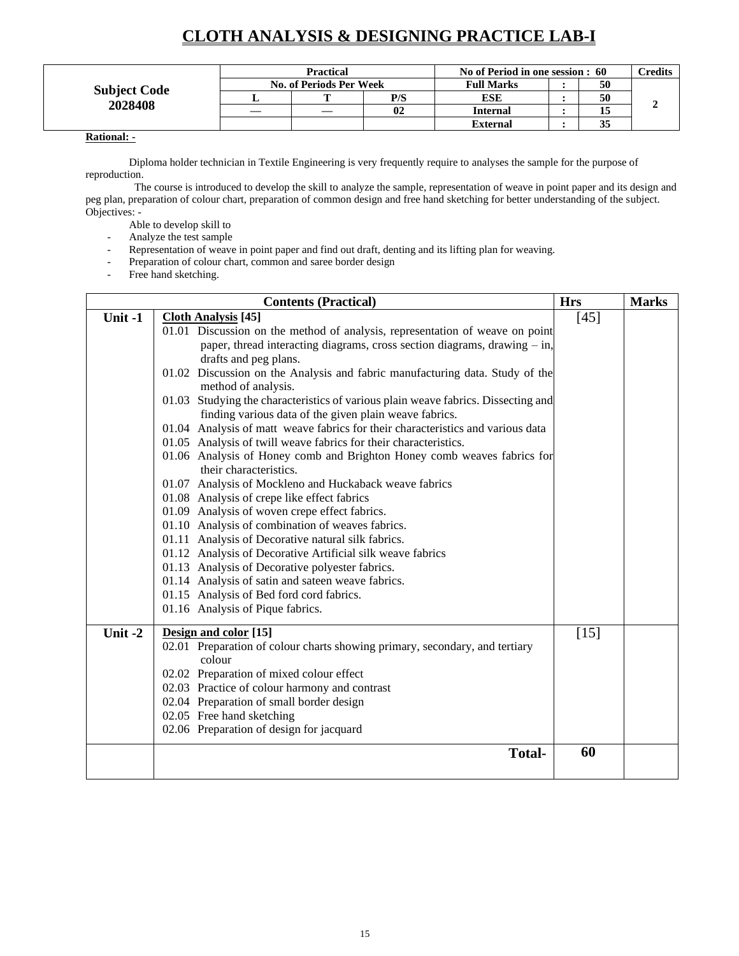## **CLOTH ANALYSIS & DESIGNING PRACTICE LAB-I**

|                     | <b>Practical</b>               |     | No of Period in one session : 60 | <b>Predits</b> |  |
|---------------------|--------------------------------|-----|----------------------------------|----------------|--|
| <b>Subject Code</b> | <b>No. of Periods Per Week</b> |     | <b>Full Marks</b>                | 50             |  |
|                     |                                | P/S | <b>ESE</b>                       | 50             |  |
| 2028408             |                                | 02  | <b>Internal</b>                  | 15             |  |
|                     |                                |     | <b>External</b>                  | 35             |  |

### **Rational: -**

Diploma holder technician in Textile Engineering is very frequently require to analyses the sample for the purpose of reproduction.

 The course is introduced to develop the skill to analyze the sample, representation of weave in point paper and its design and peg plan, preparation of colour chart, preparation of common design and free hand sketching for better understanding of the subject. Objectives: -

Able to develop skill to

- Analyze the test sample
- Representation of weave in point paper and find out draft, denting and its lifting plan for weaving.
- Preparation of colour chart, common and saree border design
- Free hand sketching.

|           | <b>Contents (Practical)</b>                                                                                                                 | <b>Hrs</b> | <b>Marks</b> |
|-----------|---------------------------------------------------------------------------------------------------------------------------------------------|------------|--------------|
| Unit -1   | <b>Cloth Analysis</b> [45]                                                                                                                  | [45]       |              |
|           | 01.01 Discussion on the method of analysis, representation of weave on point                                                                |            |              |
|           | paper, thread interacting diagrams, cross section diagrams, drawing $-$ in,                                                                 |            |              |
|           | drafts and peg plans.                                                                                                                       |            |              |
|           | 01.02 Discussion on the Analysis and fabric manufacturing data. Study of the<br>method of analysis.                                         |            |              |
|           | 01.03 Studying the characteristics of various plain weave fabrics. Dissecting and<br>finding various data of the given plain weave fabrics. |            |              |
|           | 01.04 Analysis of matt weave fabrics for their characteristics and various data                                                             |            |              |
|           | 01.05 Analysis of twill weave fabrics for their characteristics.                                                                            |            |              |
|           | 01.06 Analysis of Honey comb and Brighton Honey comb weaves fabrics for<br>their characteristics.                                           |            |              |
|           | 01.07 Analysis of Mockleno and Huckaback weave fabrics                                                                                      |            |              |
|           | 01.08 Analysis of crepe like effect fabrics                                                                                                 |            |              |
|           | 01.09 Analysis of woven crepe effect fabrics.                                                                                               |            |              |
|           | 01.10 Analysis of combination of weaves fabrics.                                                                                            |            |              |
|           | 01.11 Analysis of Decorative natural silk fabrics.                                                                                          |            |              |
|           | 01.12 Analysis of Decorative Artificial silk weave fabrics                                                                                  |            |              |
|           | 01.13 Analysis of Decorative polyester fabrics.                                                                                             |            |              |
|           | 01.14 Analysis of satin and sateen weave fabrics.                                                                                           |            |              |
|           | 01.15 Analysis of Bed ford cord fabrics.                                                                                                    |            |              |
|           | 01.16 Analysis of Pique fabrics.                                                                                                            |            |              |
| Unit $-2$ | Design and color [15]                                                                                                                       | $[15]$     |              |
|           | 02.01 Preparation of colour charts showing primary, secondary, and tertiary<br>colour                                                       |            |              |
|           | 02.02 Preparation of mixed colour effect                                                                                                    |            |              |
|           | 02.03 Practice of colour harmony and contrast                                                                                               |            |              |
|           | 02.04 Preparation of small border design                                                                                                    |            |              |
|           | 02.05 Free hand sketching                                                                                                                   |            |              |
|           | 02.06 Preparation of design for jacquard                                                                                                    |            |              |
|           | <b>Total-</b>                                                                                                                               | 60         |              |
|           |                                                                                                                                             |            |              |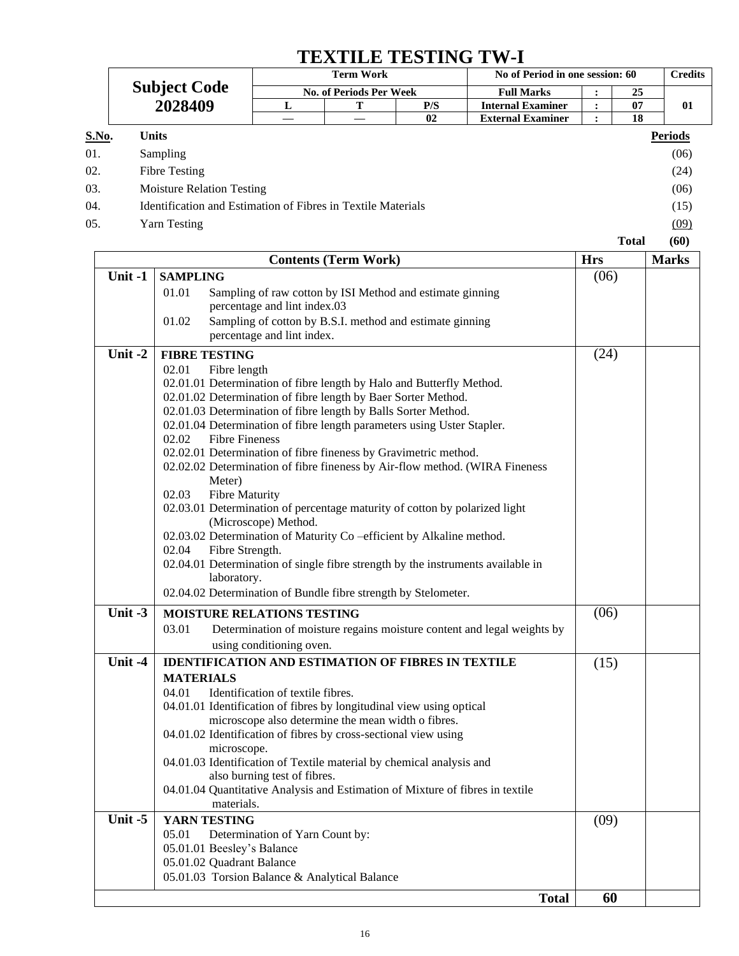## **TEXTILE TESTING TW-I**

|       |                                                              | <b>Term Work</b><br><b>No. of Periods Per Week</b> |  |     | No of Period in one session: 60 | <b>Credits</b> |                |
|-------|--------------------------------------------------------------|----------------------------------------------------|--|-----|---------------------------------|----------------|----------------|
|       | <b>Subject Code</b>                                          |                                                    |  |     | <b>Full Marks</b>               | 25             |                |
|       | 2028409                                                      | L                                                  |  | P/S | <b>Internal Examiner</b>        | 07             | 01             |
|       |                                                              |                                                    |  | 02  | <b>External Examiner</b>        | 18             |                |
| S.No. | <b>Units</b>                                                 |                                                    |  |     |                                 |                | <b>Periods</b> |
| 01.   | Sampling                                                     |                                                    |  |     |                                 |                | (06)           |
| 02.   | Fibre Testing                                                |                                                    |  |     |                                 |                | (24)           |
| 03.   | <b>Moisture Relation Testing</b>                             |                                                    |  |     |                                 |                | (06)           |
| 04.   | Identification and Estimation of Fibres in Textile Materials |                                                    |  |     |                                 |                | (15)           |
| 05.   | Yarn Testing                                                 |                                                    |  |     |                                 |                | (09)           |
|       |                                                              |                                                    |  |     |                                 | <b>Total</b>   | (60)           |

|         | <b>Contents (Term Work)</b>                                                                              | <b>Hrs</b> | <b>Marks</b> |
|---------|----------------------------------------------------------------------------------------------------------|------------|--------------|
| Unit -1 | <b>SAMPLING</b>                                                                                          | (06)       |              |
|         | 01.01<br>Sampling of raw cotton by ISI Method and estimate ginning                                       |            |              |
|         | percentage and lint index.03                                                                             |            |              |
|         | Sampling of cotton by B.S.I. method and estimate ginning<br>01.02                                        |            |              |
|         | percentage and lint index.                                                                               |            |              |
| Unit-2  | <b>FIBRE TESTING</b>                                                                                     | (24)       |              |
|         | 02.01<br>Fibre length                                                                                    |            |              |
|         | 02.01.01 Determination of fibre length by Halo and Butterfly Method.                                     |            |              |
|         | 02.01.02 Determination of fibre length by Baer Sorter Method.                                            |            |              |
|         | 02.01.03 Determination of fibre length by Balls Sorter Method.                                           |            |              |
|         | 02.01.04 Determination of fibre length parameters using Uster Stapler.<br><b>Fibre Fineness</b><br>02.02 |            |              |
|         | 02.02.01 Determination of fibre fineness by Gravimetric method.                                          |            |              |
|         | 02.02.02 Determination of fibre fineness by Air-flow method. (WIRA Fineness                              |            |              |
|         | Meter)                                                                                                   |            |              |
|         | <b>Fibre Maturity</b><br>02.03                                                                           |            |              |
|         | 02.03.01 Determination of percentage maturity of cotton by polarized light                               |            |              |
|         | (Microscope) Method.                                                                                     |            |              |
|         | 02.03.02 Determination of Maturity Co-efficient by Alkaline method.                                      |            |              |
|         | 02.04<br>Fibre Strength.                                                                                 |            |              |
|         | 02.04.01 Determination of single fibre strength by the instruments available in                          |            |              |
|         | laboratory.                                                                                              |            |              |
|         | 02.04.02 Determination of Bundle fibre strength by Stelometer.                                           |            |              |
| Unit -3 | <b>MOISTURE RELATIONS TESTING</b>                                                                        | (06)       |              |
|         | 03.01<br>Determination of moisture regains moisture content and legal weights by                         |            |              |
|         | using conditioning oven.                                                                                 |            |              |
| Unit -4 | <b>IDENTIFICATION AND ESTIMATION OF FIBRES IN TEXTILE</b>                                                | (15)       |              |
|         | <b>MATERIALS</b>                                                                                         |            |              |
|         | Identification of textile fibres.<br>04.01                                                               |            |              |
|         | 04.01.01 Identification of fibres by longitudinal view using optical                                     |            |              |
|         | microscope also determine the mean width o fibres.                                                       |            |              |
|         | 04.01.02 Identification of fibres by cross-sectional view using                                          |            |              |
|         | microscope.<br>04.01.03 Identification of Textile material by chemical analysis and                      |            |              |
|         | also burning test of fibres.                                                                             |            |              |
|         | 04.01.04 Quantitative Analysis and Estimation of Mixture of fibres in textile                            |            |              |
|         | materials.                                                                                               |            |              |
| Unit -5 | YARN TESTING                                                                                             | (09)       |              |
|         | 05.01<br>Determination of Yarn Count by:                                                                 |            |              |
|         | 05.01.01 Beesley's Balance                                                                               |            |              |
|         | 05.01.02 Quadrant Balance                                                                                |            |              |
|         | 05.01.03 Torsion Balance & Analytical Balance                                                            |            |              |
|         | <b>Total</b>                                                                                             | 60         |              |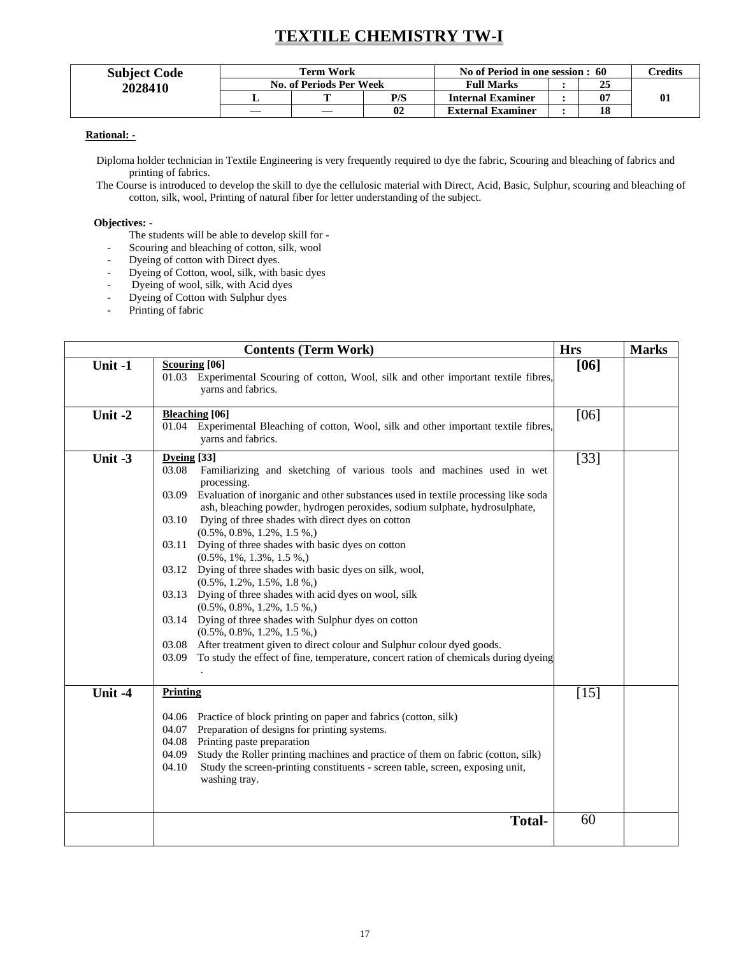## **TEXTILE CHEMISTRY TW-I**

| <b>Subject Code</b> | Term Work               |     | No of Period in one session : 60 | <b>Tredits</b> |              |
|---------------------|-------------------------|-----|----------------------------------|----------------|--------------|
| 2028410             | No. of Periods Per Week |     | <b>Full Marks</b>                | 25             |              |
|                     | m                       | P/S | <b>Internal Examiner</b>         | 07             | $\mathbf{0}$ |
|                     |                         | 02  | <b>External Examiner</b>         | 18             |              |

#### **Rational: -**

Diploma holder technician in Textile Engineering is very frequently required to dye the fabric, Scouring and bleaching of fabrics and printing of fabrics.

The Course is introduced to develop the skill to dye the cellulosic material with Direct, Acid, Basic, Sulphur, scouring and bleaching of cotton, silk, wool, Printing of natural fiber for letter understanding of the subject.

#### **Objectives: -**

- The students will be able to develop skill for -
- Scouring and bleaching of cotton, silk, wool
- Dyeing of cotton with Direct dyes.
- Dyeing of Cotton, wool, silk, with basic dyes
- Dyeing of wool, silk, with Acid dyes
- Dyeing of Cotton with Sulphur dyes
- Printing of fabric

|           | <b>Contents (Term Work)</b>                                                                                                                                                                                                                                                                                                                                                                                                                                                                                                                                                                                                                                                                                                                                                                                                                                                                                                                                | <b>Hrs</b> | <b>Marks</b> |
|-----------|------------------------------------------------------------------------------------------------------------------------------------------------------------------------------------------------------------------------------------------------------------------------------------------------------------------------------------------------------------------------------------------------------------------------------------------------------------------------------------------------------------------------------------------------------------------------------------------------------------------------------------------------------------------------------------------------------------------------------------------------------------------------------------------------------------------------------------------------------------------------------------------------------------------------------------------------------------|------------|--------------|
| Unit -1   | <b>Scouring</b> [06]<br>Experimental Scouring of cotton, Wool, silk and other important textile fibres,<br>01.03<br>yarns and fabrics.                                                                                                                                                                                                                                                                                                                                                                                                                                                                                                                                                                                                                                                                                                                                                                                                                     | $[06]$     |              |
| Unit -2   | <b>Bleaching</b> [06]<br>01.04 Experimental Bleaching of cotton, Wool, silk and other important textile fibres,<br>yarns and fabrics.                                                                                                                                                                                                                                                                                                                                                                                                                                                                                                                                                                                                                                                                                                                                                                                                                      | [06]       |              |
| Unit $-3$ | Dyeing [33]<br>03.08<br>Familiarizing and sketching of various tools and machines used in wet<br>processing.<br>03.09<br>Evaluation of inorganic and other substances used in textile processing like soda<br>ash, bleaching powder, hydrogen peroxides, sodium sulphate, hydrosulphate,<br>Dying of three shades with direct dyes on cotton<br>03.10<br>$(0.5\%, 0.8\%, 1.2\%, 1.5\%),$<br>03.11 Dying of three shades with basic dyes on cotton<br>$(0.5\%, 1\%, 1.3\%, 1.5\%$<br>03.12 Dying of three shades with basic dyes on silk, wool,<br>$(0.5\%, 1.2\%, 1.5\%, 1.8\%$<br>03.13 Dying of three shades with acid dyes on wool, silk<br>$(0.5\%, 0.8\%, 1.2\%, 1.5\%$<br>03.14 Dying of three shades with Sulphur dyes on cotton<br>$(0.5\%, 0.8\%, 1.2\%, 1.5\%$<br>After treatment given to direct colour and Sulphur colour dyed goods.<br>03.08<br>To study the effect of fine, temperature, concert ration of chemicals during dyeing<br>03.09 | $[33]$     |              |
| Unit -4   | Printing<br>04.06 Practice of block printing on paper and fabrics (cotton, silk)<br>Preparation of designs for printing systems.<br>04.07<br>Printing paste preparation<br>04.08<br>Study the Roller printing machines and practice of them on fabric (cotton, silk)<br>04.09<br>Study the screen-printing constituents - screen table, screen, exposing unit,<br>04.10<br>washing tray.                                                                                                                                                                                                                                                                                                                                                                                                                                                                                                                                                                   | $[15]$     |              |
|           | <b>Total-</b>                                                                                                                                                                                                                                                                                                                                                                                                                                                                                                                                                                                                                                                                                                                                                                                                                                                                                                                                              | 60         |              |